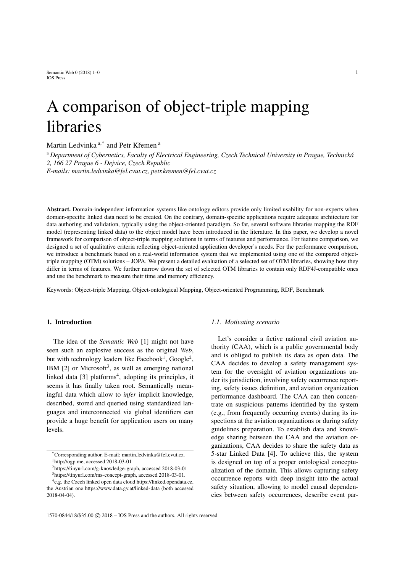Semantic Web  $0$  (2018) 1–0 1 IOS Press

# A comparison of object-triple mapping libraries

<span id="page-0-0"></span>M[a](#page-0-0)rtin Ledvinka<sup>a[,\\*](#page-0-1)</sup> and Petr Křemen<sup>a</sup>

<sup>a</sup> *Department of Cybernetics, Faculty of Electrical Engineering, Czech Technical University in Prague, Technická 2, 166 27 Prague 6 - Dejvice, Czech Republic E-mails: [martin.ledvinka@fel.cvut.cz,](mailto:martin.ledvinka@fel.cvut.cz) [petr.kremen@fel.cvut.cz](mailto:petr.kremen@fel.cvut.cz)*

Abstract. Domain-independent information systems like ontology editors provide only limited usability for non-experts when domain-specific linked data need to be created. On the contrary, domain-specific applications require adequate architecture for data authoring and validation, typically using the object-oriented paradigm. So far, several software libraries mapping the RDF model (representing linked data) to the object model have been introduced in the literature. In this paper, we develop a novel framework for comparison of object-triple mapping solutions in terms of features and performance. For feature comparison, we designed a set of qualitative criteria reflecting object-oriented application developer's needs. For the performance comparison, we introduce a benchmark based on a real-world information system that we implemented using one of the compared objecttriple mapping (OTM) solutions – JOPA. We present a detailed evaluation of a selected set of OTM libraries, showing how they differ in terms of features. We further narrow down the set of selected OTM libraries to contain only RDF4J-compatible ones and use the benchmark to measure their time and memory efficiency.

Keywords: Object-triple Mapping, Object-ontological Mapping, Object-oriented Programming, RDF, Benchmark

## 1. Introduction

The idea of the *Semantic Web* [\[1\]](#page-42-0) might not have seen such an explosive success as the original *Web*, but with technology leaders like Facebook<sup>[1](#page-0-1)</sup>, Google<sup>[2](#page-0-2)</sup>, IBM  $[2]$  or Microsoft<sup>[3](#page-0-3)</sup>, as well as emerging national linked data [\[3\]](#page-42-2) platforms<sup>[4](#page-0-4)</sup>, adopting its principles, it seems it has finally taken root. Semantically meaningful data which allow to *infer* implicit knowledge, described, stored and queried using standardized languages and interconnected via global identifiers can provide a huge benefit for application users on many levels.

<span id="page-0-2"></span><sup>2</sup>[https://tinyurl.com/g-knowledge-graph,](https://tinyurl.com/g-knowledge-graph) accessed 2018-03-01

## *1.1. Motivating scenario*

Let's consider a fictive national civil aviation authority (CAA), which is a public governmental body and is obliged to publish its data as open data. The CAA decides to develop a safety management system for the oversight of aviation organizations under its jurisdiction, involving safety occurrence reporting, safety issues definition, and aviation organization performance dashboard. The CAA can then concentrate on suspicious patterns identified by the system (e.g., from frequently occurring events) during its inspections at the aviation organizations or during safety guidelines preparation. To establish data and knowledge sharing between the CAA and the aviation organizations, CAA decides to share the safety data as 5-star Linked Data [\[4\]](#page-42-3). To achieve this, the system is designed on top of a proper ontological conceptualization of the domain. This allows capturing safety occurrence reports with deep insight into the actual safety situation, allowing to model causal dependencies between safety occurrences, describe event par-

<span id="page-0-1"></span><sup>\*</sup>Corresponding author. E-mail: [martin.ledvinka@fel.cvut.cz.](mailto:martin.ledvinka@fel.cvut.cz)  $1$ http://ogp.me. accessed 2018-03-01

<span id="page-0-4"></span><span id="page-0-3"></span><sup>3</sup>[https://tinyurl.com/ms-concept-graph,](https://tinyurl.com/ms-concept-graph) accessed 2018-03-01.

<sup>4</sup> e.g. the Czech linked open data cloud [https://linked.opendata.cz,](https://linked.opendata.cz) the Austrian one<https://www.data.gv.at/linked-data> (both accessed 2018-04-04).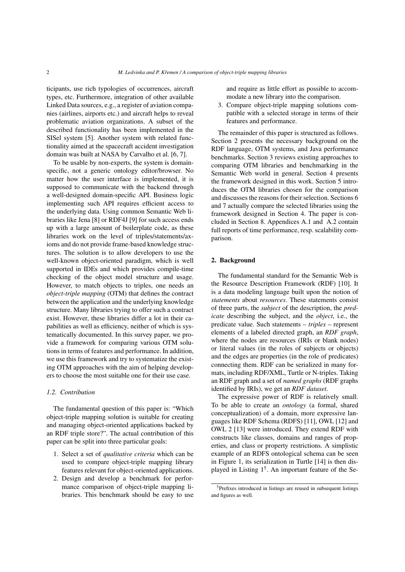ticipants, use rich typologies of occurrences, aircraft types, etc. Furthermore, integration of other available Linked Data sources, e.g., a register of aviation companies (airlines, airports etc.) and aircraft helps to reveal problematic aviation organizations. A subset of the described functionality has been implemented in the SISel system [\[5\]](#page-42-4). Another system with related functionality aimed at the spacecraft accident investigation domain was built at NASA by Carvalho et al. [\[6,](#page-42-5) [7\]](#page-42-6).

To be usable by non-experts, the system is domainspecific, not a generic ontology editor/browser. No matter how the user interface is implemented, it is supposed to communicate with the backend through a well-designed domain-specific API. Business logic implementing such API requires efficient access to the underlying data. Using common Semantic Web libraries like Jena [\[8\]](#page-42-7) or RDF4J [\[9\]](#page-42-8) for such access ends up with a large amount of boilerplate code, as these libraries work on the level of triples/statements/axioms and do not provide frame-based knowledge structures. The solution is to allow developers to use the well-known object-oriented paradigm, which is well supported in IDEs and which provides compile-time checking of the object model structure and usage. However, to match objects to triples, one needs an *object-triple mapping* (OTM) that defines the contract between the application and the underlying knowledge structure. Many libraries trying to offer such a contract exist. However, these libraries differ a lot in their capabilities as well as efficiency, neither of which is systematically documented. In this survey paper, we provide a framework for comparing various OTM solutions in terms of features and performance. In addition, we use this framework and try to systematize the existing OTM approaches with the aim of helping developers to choose the most suitable one for their use case.

#### *1.2. Contribution*

The fundamental question of this paper is: "Which object-triple mapping solution is suitable for creating and managing object-oriented applications backed by an RDF triple store?". The actual contribution of this paper can be split into three particular goals:

- 1. Select a set of *qualitative criteria* which can be used to compare object-triple mapping library features relevant for object-oriented applications.
- 2. Design and develop a benchmark for performance comparison of object-triple mapping libraries. This benchmark should be easy to use

and require as little effort as possible to accommodate a new library into the comparison.

3. Compare object-triple mapping solutions compatible with a selected storage in terms of their features and performance.

The remainder of this paper is structured as follows. Section [2](#page-1-0) presents the necessary background on the RDF language, OTM systems, and Java performance benchmarks. Section [3](#page-3-0) reviews existing approaches to comparing OTM libraries and benchmarking in the Semantic Web world in general. Section [4](#page-4-0) presents the framework designed in this work. Section [5](#page-11-0) introduces the OTM libraries chosen for the comparison and discusses the reasons for their selection. Sections [6](#page-15-0) and [7](#page-19-0) actually compare the selected libraries using the framework designed in Section [4.](#page-4-0) The paper is concluded in Section [8.](#page-27-0) Appendices [A.1](#page-29-0) and [A.2](#page-39-0) contain full reports of time performance, resp. scalability comparison.

#### <span id="page-1-0"></span>2. Background

The fundamental standard for the Semantic Web is the Resource Description Framework (RDF) [\[10\]](#page-42-9). It is a data modeling language built upon the notion of *statements* about *resources*. These statements consist of three parts, the *subject* of the description, the *predicate* describing the subject, and the *object*, i.e., the predicate value. Such statements – *triples* – represent elements of a labeled directed graph, an *RDF graph*, where the nodes are resources (IRIs or blank nodes) or literal values (in the roles of subjects or objects) and the edges are properties (in the role of predicates) connecting them. RDF can be serialized in many formats, including RDF/XML, Turtle or N-triples. Taking an RDF graph and a set of *named graphs* (RDF graphs identified by IRIs), we get an *RDF dataset*.

The expressive power of RDF is relatively small. To be able to create an *ontology* (a formal, shared conceptualization) of a domain, more expressive languages like RDF Schema (RDFS) [\[11\]](#page-42-10), OWL [\[12\]](#page-42-11) and OWL 2 [\[13\]](#page-42-12) were introduced. They extend RDF with constructs like classes, domains and ranges of properties, and class or property restrictions. A simplistic example of an RDFS ontological schema can be seen in Figure [1,](#page-2-0) its serialization in Turtle [\[14\]](#page-42-13) is then displayed in Listing  $1<sup>5</sup>$  $1<sup>5</sup>$  $1<sup>5</sup>$ . An important feature of the Se-

<span id="page-1-1"></span><sup>5</sup>Prefixes introduced in listings are reused in subsequent listings and figures as well.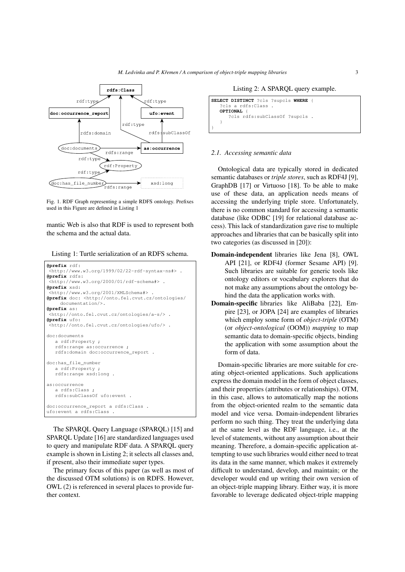<span id="page-2-0"></span>



mantic Web is also that RDF is used to represent both the schema and the actual data.

<span id="page-2-1"></span>

|  |  | Listing 1: Turtle serialization of an RDFS schema. |  |
|--|--|----------------------------------------------------|--|
|--|--|----------------------------------------------------|--|

```
@prefix rdf:
 <http://www.w3.org/1999/02/22-rdf-syntax-ns#> .
@prefix rdfs:
 .<br><http://www.w3.org/2000/01/rdf-schema#>
@prefix xsd:
 <http://www.w3.org/2001/XMLSchema#> .
@prefix doc: <http://onto.fel.cvut.cz/ontologies/
    documentation/>.
@prefix as:
 -<br><http://onto.fel.cvut.cz/ontologies/a-s/> .
@prefix ufo:
 -<br><http://onto.fel.cvut.cz/ontologies/ufo/> .
doc:documents
   a rdf:Property ;
   rdfs:range as:occurrence ;
   rdfs:domain doc:occurrence_report .
doc:has_file_number
   a rdf:Property ;
   rdfs:range xsd:long .
as:occurrence
   a rdfs:Class ;
   rdfs:subClassOf ufo:event .
doc:occurrence_report a rdfs:Class .
ufo:event a rdfs:Class .
```
The SPARQL Query Language (SPARQL) [\[15\]](#page-42-14) and SPARQL Update [\[16\]](#page-42-15) are standardized languages used to query and manipulate RDF data. A SPARQL query example is shown in Listing [2;](#page-2-2) it selects all classes and, if present, also their immediate super types.

The primary focus of this paper (as well as most of the discussed OTM solutions) is on RDFS. However, OWL (2) is referenced in several places to provide further context.

Listing 2: A SPARQL query example.

```
SELECT DISTINCT ?cls ?supcls WHERE {
   ?cls a rdfs: Class
   OPTIONAL {
      ?cls rdfs:subClassOf ?supcls .
   }
}
```
#### *2.1. Accessing semantic data*

Ontological data are typically stored in dedicated semantic databases or *triple stores*, such as RDF4J [\[9\]](#page-42-8), GraphDB [\[17\]](#page-42-16) or Virtuoso [\[18\]](#page-42-17). To be able to make use of these data, an application needs means of accessing the underlying triple store. Unfortunately, there is no common standard for accessing a semantic database (like ODBC [\[19\]](#page-42-18) for relational database access). This lack of standardization gave rise to multiple approaches and libraries that can be basically split into two categories (as discussed in [\[20\]](#page-42-19)):

- Domain-independent libraries like Jena [\[8\]](#page-42-7), OWL API [\[21\]](#page-42-20), or RDF4J (former Sesame API) [\[9\]](#page-42-8). Such libraries are suitable for generic tools like ontology editors or vocabulary explorers that do not make any assumptions about the ontology behind the data the application works with.
- Domain-specific libraries like AliBaba [\[22\]](#page-42-21), Empire [\[23\]](#page-42-22), or JOPA [\[24\]](#page-42-23) are examples of libraries which employ some form of *object-triple* (OTM) (or *object-ontological* (OOM)) *mapping* to map semantic data to domain-specific objects, binding the application with some assumption about the form of data.

Domain-specific libraries are more suitable for creating object-oriented applications. Such applications express the domain model in the form of object classes, and their properties (attributes or relationships). OTM, in this case, allows to automatically map the notions from the object-oriented realm to the semantic data model and vice versa. Domain-independent libraries perform no such thing. They treat the underlying data at the same level as the RDF language, i.e., at the level of statements, without any assumption about their meaning. Therefore, a domain-specific application attempting to use such libraries would either need to treat its data in the same manner, which makes it extremely difficult to understand, develop, and maintain; or the developer would end up writing their own version of an object-triple mapping library. Either way, it is more favorable to leverage dedicated object-triple mapping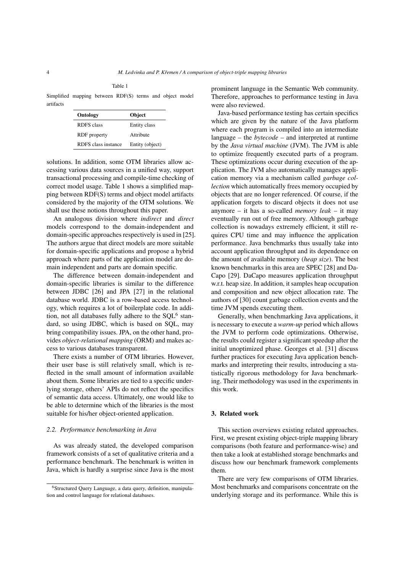<span id="page-3-1"></span>Simplified mapping between RDF(S) terms and object model artifacts

| Ontology            | <b>Object</b>   |  |  |
|---------------------|-----------------|--|--|
| <b>RDFS</b> class   | Entity class    |  |  |
| RDF property        | Attribute       |  |  |
| RDFS class instance | Entity (object) |  |  |

solutions. In addition, some OTM libraries allow accessing various data sources in a unified way, support transactional processing and compile-time checking of correct model usage. Table [1](#page-3-1) shows a simplified mapping between RDF(S) terms and object model artifacts considered by the majority of the OTM solutions. We shall use these notions throughout this paper.

An analogous division where *indirect* and *direct* models correspond to the domain-independent and domain-specific approaches respectively is used in [\[25\]](#page-42-24). The authors argue that direct models are more suitable for domain-specific applications and propose a hybrid approach where parts of the application model are domain independent and parts are domain specific.

The difference between domain-independent and domain-specific libraries is similar to the difference between JDBC [\[26\]](#page-42-25) and JPA [\[27\]](#page-42-26) in the relational database world. JDBC is a row-based access technology, which requires a lot of boilerplate code. In addition, not all databases fully adhere to the  $SQL^6$  $SQL^6$  standard, so using JDBC, which is based on SQL, may bring compatibility issues. JPA, on the other hand, provides *object-relational mapping* (ORM) and makes access to various databases transparent.

There exists a number of OTM libraries. However, their user base is still relatively small, which is reflected in the small amount of information available about them. Some libraries are tied to a specific underlying storage, others' APIs do not reflect the specifics of semantic data access. Ultimately, one would like to be able to determine which of the libraries is the most suitable for his/her object-oriented application.

## *2.2. Performance benchmarking in Java*

As was already stated, the developed comparison framework consists of a set of qualitative criteria and a performance benchmark. The benchmark is written in Java, which is hardly a surprise since Java is the most prominent language in the Semantic Web community. Therefore, approaches to performance testing in Java were also reviewed.

Java-based performance testing has certain specifics which are given by the nature of the Java platform where each program is compiled into an intermediate language – the *bytecode* – and interpreted at runtime by the *Java virtual machine* (JVM). The JVM is able to optimize frequently executed parts of a program. These optimizations occur during execution of the application. The JVM also automatically manages application memory via a mechanism called *garbage collection* which automatically frees memory occupied by objects that are no longer referenced. Of course, if the application forgets to discard objects it does not use anymore – it has a so-called *memory leak* – it may eventually run out of free memory. Although garbage collection is nowadays extremely efficient, it still requires CPU time and may influence the application performance. Java benchmarks thus usually take into account application throughput and its dependence on the amount of available memory (*heap size*). The best known benchmarks in this area are SPEC [\[28\]](#page-42-27) and Da-Capo [\[29\]](#page-42-28). DaCapo measures application throughput w.r.t. heap size. In addition, it samples heap occupation and composition and new object allocation rate. The authors of [\[30\]](#page-42-29) count garbage collection events and the time JVM spends executing them.

Generally, when benchmarking Java applications, it is necessary to execute a *warm-up* period which allows the JVM to perform code optimizations. Otherwise, the results could register a significant speedup after the initial unoptimized phase. Georges et al. [\[31\]](#page-42-30) discuss further practices for executing Java application benchmarks and interpreting their results, introducing a statistically rigorous methodology for Java benchmarking. Their methodology was used in the experiments in this work.

#### <span id="page-3-0"></span>3. Related work

This section overviews existing related approaches. First, we present existing object-triple mapping library comparisons (both feature and performance-wise) and then take a look at established storage benchmarks and discuss how our benchmark framework complements them.

There are very few comparisons of OTM libraries. Most benchmarks and comparisons concentrate on the underlying storage and its performance. While this is

<span id="page-3-2"></span><sup>6</sup>Structured Query Language, a data query, definition, manipulation and control language for relational databases.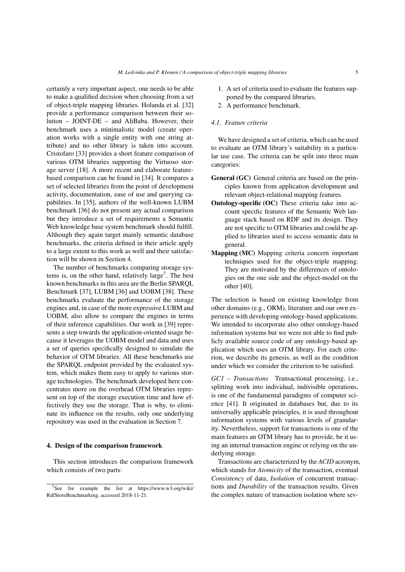certainly a very important aspect, one needs to be able to make a qualified decision when choosing from a set of object-triple mapping libraries. Holanda et al. [\[32\]](#page-42-31) provide a performance comparison between their solution – JOINT-DE – and AliBaba. However, their benchmark uses a minimalistic model (create operation works with a single entity with one string attribute) and no other library is taken into account. Cristofaro [\[33\]](#page-43-0) provides a short feature comparison of various OTM libraries supporting the Virtuoso storage server [\[18\]](#page-42-17). A more recent and elaborate featurebased comparison can be found in [\[34\]](#page-43-1). It compares a set of selected libraries from the point of development activity, documentation, ease of use and querying capabilities. In [\[35\]](#page-43-2), authors of the well-known LUBM benchmark [\[36\]](#page-43-3) do not present any actual comparison but they introduce a set of requirements a Semantic Web knowledge base system benchmark should fulfill. Although they again target mainly semantic database benchmarks, the criteria defined in their article apply to a large extent to this work as well and their satisfaction will be shown in Section [4.](#page-4-0)

The number of benchmarks comparing storage sys-tems is, on the other hand, relatively large<sup>[7](#page-4-1)</sup>. The best known benchmarks in this area are the Berlin SPARQL Benchmark [\[37\]](#page-43-4), LUBM [\[36\]](#page-43-3) and UOBM [\[38\]](#page-43-5). These benchmarks evaluate the performance of the storage engines and, in case of the more expressive LUBM and UOBM, also allow to compare the engines in terms of their inference capabilities. Our work in [\[39\]](#page-43-6) represents a step towards the application-oriented usage because it leverages the UOBM model and data and uses a set of queries specifically designed to simulate the behavior of OTM libraries. All these benchmarks use the SPARQL endpoint provided by the evaluated system, which makes them easy to apply to various storage technologies. The benchmark developed here concentrates more on the overhead OTM libraries represent on top of the storage execution time and how effectively they use the storage. That is why, to eliminate its influence on the results, only one underlying repository was used in the evaluation in Section [7.](#page-19-0)

#### <span id="page-4-0"></span>4. Design of the comparison framework

This section introduces the comparison framework which consists of two parts:

- 1. A set of criteria used to evaluate the features supported by the compared libraries.
- 2. A performance benchmark.

# *4.1. Feature criteria*

We have designed a set of criteria, which can be used to evaluate an OTM library's suitability in a particular use case. The criteria can be split into three main categories:

- General (GC) General criteria are based on the principles known from application development and relevant object-relational mapping features.
- Ontology-specific (OC) These criteria take into account specific features of the Semantic Web language stack based on RDF and its design. They are not specific to OTM libraries and could be applied to libraries used to access semantic data in general.
- Mapping (MC) Mapping criteria concern important techniques used for the object-triple mapping. They are motivated by the differences of ontologies on the one side and the object-model on the other [\[40\]](#page-43-7).

The selection is based on existing knowledge from other domains (e.g., ORM), literature and our own experience with developing ontology-based applications. We intended to incorporate also other ontology-based information systems but we were not able to find publicly available source code of any ontology-based application which uses an OTM library. For each criterion, we describe its genesis, as well as the condition under which we consider the criterion to be satisfied.

*GC1 – Transactions* Transactional processing, i.e., splitting work into individual, indivisible operations, is one of the fundamental paradigms of computer science [\[41\]](#page-43-8). It originated in databases but, due to its universally applicable principles, it is used throughout information systems with various levels of granularity. Nevertheless, support for transactions is one of the main features an OTM library has to provide, be it using an internal transaction engine or relying on the underlying storage.

Transactions are characterized by the *ACID* acronym, which stands for *Atomicity* of the transaction, eventual *Consistency* of data, *Isolation* of concurrent transactions and *Durability* of the transaction results. Given the complex nature of transaction isolation where sev-

<span id="page-4-1"></span><sup>7</sup>See for example the list at [https://www.w3.org/wiki/](https://www.w3.org/wiki/RdfStoreBenchmarking) [RdfStoreBenchmarking,](https://www.w3.org/wiki/RdfStoreBenchmarking) accessed 2018-11-21.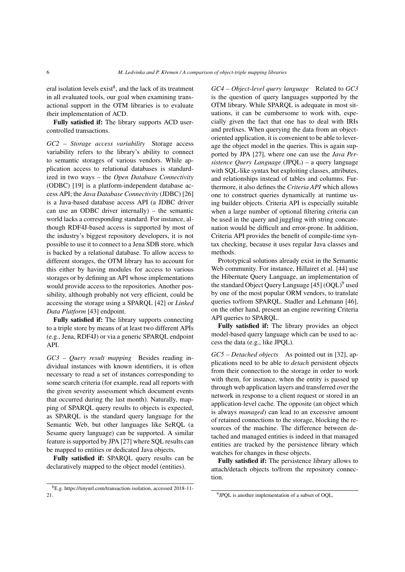eral isolation levels exist<sup>[8](#page-5-0)</sup>, and the lack of its treatment in all evaluated tools, our goal when examining transactional support in the OTM libraries is to evaluate their implementation of ACD.

Fully satisfied if: The library supports ACD usercontrolled transactions.

*GC2 – Storage access variability* Storage access variability refers to the library's ability to connect to semantic storages of various vendors. While application access to relational databases is standardized in two ways – the *Open Database Connectivity* (ODBC) [\[19\]](#page-42-18) is a platform-independent database access API; the *Java Database Connectivity* (JDBC) [\[26\]](#page-42-25) is a Java-based database access API (a JDBC driver can use an ODBC driver internally) – the semantic world lacks a corresponding standard. For instance, although RDF4J-based access is supported by most of the industry's biggest repository developers, it is not possible to use it to connect to a Jena SDB store, which is backed by a relational database. To allow access to different storages, the OTM library has to account for this either by having modules for access to various storages or by defining an API whose implementations would provide access to the repositories. Another possibility, although probably not very efficient, could be accessing the storage using a SPARQL [\[42\]](#page-43-9) or *Linked Data Platform* [\[43\]](#page-43-10) endpoint.

Fully satisfied if: The library supports connecting to a triple store by means of at least two different APIs (e.g., Jena, RDF4J) or via a generic SPARQL endpoint API.

*GC3 – Query result mapping* Besides reading individual instances with known identifiers, it is often necessary to read a set of instances corresponding to some search criteria (for example, read all reports with the given severity assessment which document events that occurred during the last month). Naturally, mapping of SPARQL query results to objects is expected, as SPARQL is the standard query language for the Semantic Web, but other languages like SeRQL (a Sesame query language) can be supported. A similar feature is supported by JPA [\[27\]](#page-42-26) where SQL results can be mapped to entities or dedicated Java objects.

Fully satisfied if: SPARQL query results can be declaratively mapped to the object model (entities).

*GC4 – Object-level query language* Related to *GC3* is the question of query languages supported by the OTM library. While SPARQL is adequate in most situations, it can be cumbersome to work with, especially given the fact that one has to deal with IRIs and prefixes. When querying the data from an objectoriented application, it is convenient to be able to leverage the object model in the queries. This is again supported by JPA [\[27\]](#page-42-26), where one can use the *Java Persistence Query Language* (JPQL) – a query language with SQL-like syntax but exploiting classes, attributes, and relationships instead of tables and columns. Furthermore, it also defines the *Criteria API* which allows one to construct queries dynamically at runtime using builder objects. Criteria API is especially suitable when a large number of optional filtering criteria can be used in the query and juggling with string concatenation would be difficult and error-prone. In addition, Criteria API provides the benefit of compile-time syntax checking, because it uses regular Java classes and methods.

Prototypical solutions already exist in the Semantic Web community. For instance, Hillairet et al. [\[44\]](#page-43-11) use the Hibernate Query Language, an implementation of the standard Object Query Language  $[45] (OQL)^9$  $[45] (OQL)^9$  $[45] (OQL)^9$  used by one of the most popular ORM vendors, to translate queries to/from SPARQL. Stadler and Lehmann [\[46\]](#page-43-13), on the other hand, present an engine rewriting Criteria API queries to SPARQL.

Fully satisfied if: The library provides an object model-based query language which can be used to access the data (e.g., like JPQL).

*GC5 – Detached objects* As pointed out in [\[32\]](#page-42-31), applications need to be able to *detach* persistent objects from their connection to the storage in order to work with them, for instance, when the entity is passed up through web application layers and transferred over the network in response to a client request or stored in an application-level cache. The opposite (an object which is always *managed*) can lead to an excessive amount of retained connections to the storage, blocking the resources of the machine. The difference between detached and managed entities is indeed in that managed entities are tracked by the persistence library which watches for changes in these objects.

Fully satisfied if: The persistence library allows to attach/detach objects to/from the repository connection.

<span id="page-5-0"></span><sup>8</sup>E.g. [https://tinyurl.com/transaction-isolation,](https://tinyurl.com/transaction-isolation) accessed 2018-11- 21.

<span id="page-5-1"></span><sup>9</sup> JPQL is another implementation of a subset of OQL.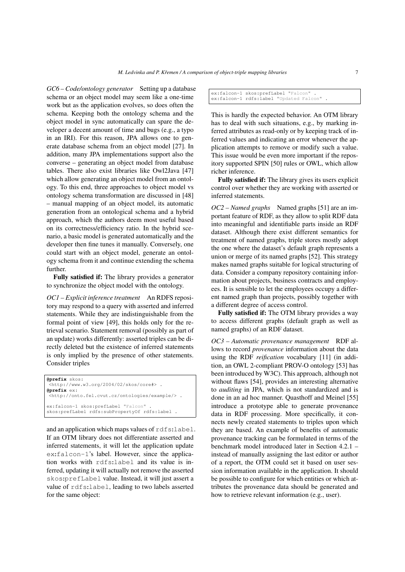*GC6 – Code/ontology generator* Setting up a database schema or an object model may seem like a one-time work but as the application evolves, so does often the schema. Keeping both the ontology schema and the object model in sync automatically can spare the developer a decent amount of time and bugs (e.g., a typo in an IRI). For this reason, JPA allows one to generate database schema from an object model [\[27\]](#page-42-26). In addition, many JPA implementations support also the converse – generating an object model from database tables. There also exist libraries like Owl2Java [\[47\]](#page-43-14) which allow generating an object model from an ontology. To this end, three approaches to object model vs ontology schema transformation are discussed in [\[48\]](#page-43-15) – manual mapping of an object model, its automatic generation from an ontological schema and a hybrid approach, which the authors deem most useful based on its correctness/efficiency ratio. In the hybrid scenario, a basic model is generated automatically and the developer then fine tunes it manually. Conversely, one could start with an object model, generate an ontology schema from it and continue extending the schema further.

Fully satisfied if: The library provides a generator to synchronize the object model with the ontology.

*OC1 – Explicit inference treatment* An RDFS repository may respond to a query with asserted and inferred statements. While they are indistinguishable from the formal point of view [\[49\]](#page-43-16), this holds only for the retrieval scenario. Statement removal (possibly as part of an update) works differently: asserted triples can be directly deleted but the existence of inferred statements is only implied by the presence of other statements. Consider triples

```
@prefix skos:
 <http://www.w3.org/2004/02/skos/core#> .
@prefix ex:
 <http://onto.fel.cvut.cz/ontologies/example/> .
ex:falcon-1 skos:prefLabel "Falcon" .
skos:prefLabel rdfs:subPropertyOf rdfs:label .
```
and an application which maps values of rdfs:label. If an OTM library does not differentiate asserted and inferred statements, it will let the application update ex:falcon-1's label. However, since the application works with rdfs:label and its value is inferred, updating it will actually not remove the asserted skos:prefLabel value. Instead, it will just assert a value of rdfs:label, leading to two labels asserted for the same object:

ex:falcon-1 skos:prefLabel "Falcon" . ex:falcon-1 rdfs:label "Updated Falcon"

This is hardly the expected behavior. An OTM library has to deal with such situations, e.g., by marking inferred attributes as read-only or by keeping track of inferred values and indicating an error whenever the application attempts to remove or modify such a value. This issue would be even more important if the repository supported SPIN [\[50\]](#page-43-17) rules or OWL, which allow richer inference.

Fully satisfied if: The library gives its users explicit control over whether they are working with asserted or inferred statements.

*OC2 – Named graphs* Named graphs [\[51\]](#page-43-18) are an important feature of RDF, as they allow to split RDF data into meaningful and identifiable parts inside an RDF dataset. Although there exist different semantics for treatment of named graphs, triple stores mostly adopt the one where the dataset's default graph represents a union or merge of its named graphs [\[52\]](#page-43-19). This strategy makes named graphs suitable for logical structuring of data. Consider a company repository containing information about projects, business contracts and employees. It is sensible to let the employees occupy a different named graph than projects, possibly together with a different degree of access control.

Fully satisfied if: The OTM library provides a way to access different graphs (default graph as well as named graphs) of an RDF dataset.

*OC3 – Automatic provenance management* RDF allows to record *provenance* information about the data using the RDF *reification* vocabulary [\[11\]](#page-42-10) (in addition, an OWL 2-compliant PROV-O ontology [\[53\]](#page-43-20) has been introduced by W3C). This approach, although not without flaws [\[54\]](#page-43-21), provides an interesting alternative to *auditing* in JPA, which is not standardized and is done in an ad hoc manner. Quasthoff and Meinel [\[55\]](#page-43-22) introduce a prototype able to generate provenance data in RDF processing. More specifically, it connects newly created statements to triples upon which they are based. An example of benefits of automatic provenance tracking can be formulated in terms of the benchmark model introduced later in Section [4.2.1](#page-8-0) – instead of manually assigning the last editor or author of a report, the OTM could set it based on user session information available in the application. It should be possible to configure for which entities or which attributes the provenance data should be generated and how to retrieve relevant information (e.g., user).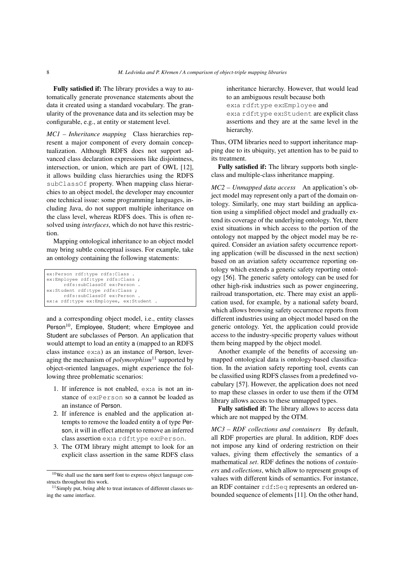Fully satisfied if: The library provides a way to automatically generate provenance statements about the data it created using a standard vocabulary. The granularity of the provenance data and its selection may be configurable, e.g., at entity or statement level.

*MC1 – Inheritance mapping* Class hierarchies represent a major component of every domain conceptualization. Although RDFS does not support advanced class declaration expressions like disjointness, intersection, or union, which are part of OWL [\[12\]](#page-42-11), it allows building class hierarchies using the RDFS subClassOf property. When mapping class hierarchies to an object model, the developer may encounter one technical issue: some programming languages, including Java, do not support multiple inheritance on the class level, whereas RDFS does. This is often resolved using *interfaces*, which do not have this restriction.

Mapping ontological inheritance to an object model may bring subtle conceptual issues. For example, take an ontology containing the following statements:

| ex:Person rdf:type rdfs:Class.          |  |
|-----------------------------------------|--|
| ex:Employee rdf:type rdfs:Class ;       |  |
| rdfs:subClassOf ex:Person.              |  |
| ex:Student rdf:type rdfs:Class ;        |  |
| rdfs:subClassOf ex:Person.              |  |
| ex:a rdf:type ex:Employee, ex:Student . |  |

and a corresponding object model, i.e., entity classes Person<sup>[10](#page-7-0)</sup>, Employee, Student; where Employee and Student are subclasses of Person. An application that would attempt to load an entity a (mapped to an RDFS class instance ex:a) as an instance of Person, leveraging the mechanism of *polymorphism*[11](#page-7-1) supported by object-oriented languages, might experience the following three problematic scenarios:

- 1. If inference is not enabled, ex:a is not an instance of ex:Person so a cannot be loaded as an instance of Person.
- 2. If inference is enabled and the application attempts to remove the loaded entity a of type Person, it will in effect attempt to remove an inferred class assertion ex:a rdf:type ex:Person.
- 3. The OTM library might attempt to look for an explicit class assertion in the same RDFS class

inheritance hierarchy. However, that would lead to an ambiguous result because both ex:a rdf:type ex:Employee and ex:a rdf:type ex:Student are explicit class assertions and they are at the same level in the

hierarchy. Thus, OTM libraries need to support inheritance mapping due to its ubiquity, yet attention has to be paid to

its treatment. Fully satisfied if: The library supports both singleclass and multiple-class inheritance mapping.

*MC2 – Unmapped data access* An application's object model may represent only a part of the domain ontology. Similarly, one may start building an application using a simplified object model and gradually extend its coverage of the underlying ontology. Yet, there exist situations in which access to the portion of the ontology not mapped by the object model may be required. Consider an aviation safety occurrence reporting application (will be discussed in the next section) based on an aviation safety occurrence reporting ontology which extends a generic safety reporting ontology [\[56\]](#page-43-23). The generic safety ontology can be used for other high-risk industries such as power engineering, railroad transportation, etc. There may exist an application used, for example, by a national safety board, which allows browsing safety occurrence reports from different industries using an object model based on the generic ontology. Yet, the application could provide access to the industry-specific property values without them being mapped by the object model.

Another example of the benefits of accessing unmapped ontological data is ontology-based classification. In the aviation safety reporting tool, events can be classified using RDFS classes from a predefined vocabulary [\[57\]](#page-43-24). However, the application does not need to map these classes in order to use them if the OTM library allows access to these unmapped types.

Fully satisfied if: The library allows to access data which are not mapped by the OTM.

*MC3 – RDF collections and containers* By default, all RDF properties are plural. In addition, RDF does not impose any kind of ordering restriction on their values, giving them effectively the semantics of a mathematical *set*. RDF defines the notions of *containers* and *collections*, which allow to represent groups of values with different kinds of semantics. For instance, an RDF container rdf:Seq represents an ordered unbounded sequence of elements [\[11\]](#page-42-10). On the other hand,

<span id="page-7-0"></span> $10$ We shall use the sans serif font to express object language constructs throughout this work.

<span id="page-7-1"></span><sup>&</sup>lt;sup>11</sup>Simply put, being able to treat instances of different classes using the same interface.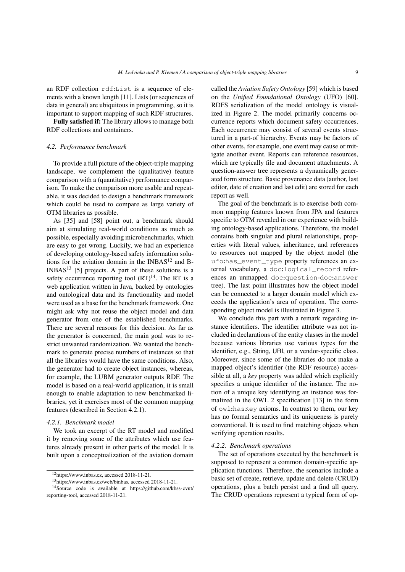an RDF collection rdf:List is a sequence of elements with a known length [\[11\]](#page-42-10). Lists (or sequences of data in general) are ubiquitous in programming, so it is important to support mapping of such RDF structures.

Fully satisfied if: The library allows to manage both RDF collections and containers.

#### *4.2. Performance benchmark*

To provide a full picture of the object-triple mapping landscape, we complement the (qualitative) feature comparison with a (quantitative) performance comparison. To make the comparison more usable and repeatable, it was decided to design a benchmark framework which could be used to compare as large variety of OTM libraries as possible.

As [\[35\]](#page-43-2) and [\[58\]](#page-43-25) point out, a benchmark should aim at simulating real-world conditions as much as possible, especially avoiding microbenchmarks, which are easy to get wrong. Luckily, we had an experience of developing ontology-based safety information solu-tions for the aviation domain in the INBAS<sup>[12](#page-8-1)</sup> and B-INBAS $^{13}$  $^{13}$  $^{13}$  [\[5\]](#page-42-4) projects. A part of these solutions is a safety occurrence reporting tool  $(RT)^{14}$  $(RT)^{14}$  $(RT)^{14}$ . The RT is a web application written in Java, backed by ontologies and ontological data and its functionality and model were used as a base for the benchmark framework. One might ask why not reuse the object model and data generator from one of the established benchmarks. There are several reasons for this decision. As far as the generator is concerned, the main goal was to restrict unwanted randomization. We wanted the benchmark to generate precise numbers of instances so that all the libraries would have the same conditions. Also, the generator had to create object instances, whereas, for example, the LUBM generator outputs RDF. The model is based on a real-world application, it is small enough to enable adaptation to new benchmarked libraries, yet it exercises most of the common mapping features (described in Section [4.2.1\)](#page-8-0).

#### <span id="page-8-0"></span>*4.2.1. Benchmark model*

We took an excerpt of the RT model and modified it by removing some of the attributes which use features already present in other parts of the model. It is built upon a conceptualization of the aviation domain called the *Aviation Safety Ontology* [\[59\]](#page-43-26) which is based on the *Unified Foundational Ontology* (UFO) [\[60\]](#page-43-27). RDFS serialization of the model ontology is visualized in Figure [2.](#page-9-0) The model primarily concerns occurrence reports which document safety occurrences. Each occurrence may consist of several events structured in a part-of hierarchy. Events may be factors of other events, for example, one event may cause or mitigate another event. Reports can reference resources, which are typically file and document attachments. A question-answer tree represents a dynamically generated form structure. Basic provenance data (author, last editor, date of creation and last edit) are stored for each report as well.

The goal of the benchmark is to exercise both common mapping features known from JPA and features specific to OTM revealed in our experience with building ontology-based applications. Therefore, the model contains both singular and plural relationships, properties with literal values, inheritance, and references to resources not mapped by the object model (the ufo:has\_event\_type property references an external vocabulary, a doc:logical\_record references an unmapped doc:question-doc:answer tree). The last point illustrates how the object model can be connected to a larger domain model which exceeds the application's area of operation. The corresponding object model is illustrated in Figure [3.](#page-10-0)

We conclude this part with a remark regarding instance identifiers. The identifier attribute was not included in declarations of the entity classes in the model because various libraries use various types for the identifier, e.g., String, URI, or a vendor-specific class. Moreover, since some of the libraries do not make a mapped object's identifier (the RDF resource) accessible at all, a *key* property was added which explicitly specifies a unique identifier of the instance. The notion of a unique key identifying an instance was formalized in the OWL 2 specification [\[13\]](#page-42-12) in the form of owl:hasKey axioms. In contrast to them, our key has no formal semantics and its uniqueness is purely conventional. It is used to find matching objects when verifying operation results.

#### *4.2.2. Benchmark operations*

The set of operations executed by the benchmark is supposed to represent a common domain-specific application functions. Therefore, the scenarios include a basic set of create, retrieve, update and delete (CRUD) operations, plus a batch persist and a find all query. The CRUD operations represent a typical form of op-

<span id="page-8-1"></span><sup>12</sup>[https://www.inbas.cz,](https://www.inbas.cz) accessed 2018-11-21.

<span id="page-8-3"></span><span id="page-8-2"></span><sup>13</sup>[https://www.inbas.cz/web/binbas,](https://www.inbas.cz/web/binbas) accessed 2018-11-21.

<sup>14</sup>Source code is available at [https://github.com/kbss-cvut/](https://github.com/kbss-cvut/reporting-tool) [reporting-tool,](https://github.com/kbss-cvut/reporting-tool) accessed 2018-11-21.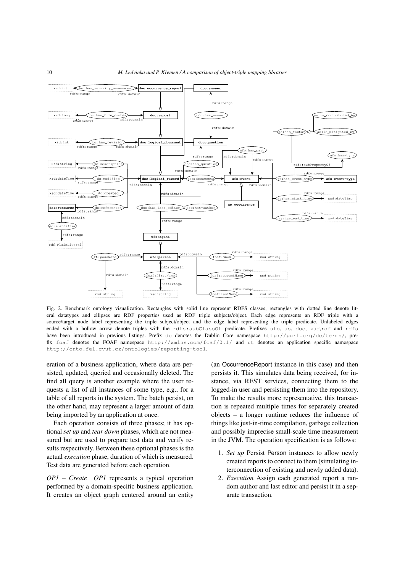<span id="page-9-0"></span>

Fig. 2. Benchmark ontology visualization. Rectangles with solid line represent RDFS classes, rectangles with dotted line denote literal datatypes and ellipses are RDF properties used as RDF triple subjects/object. Each edge represents an RDF triple with a source/target node label representing the triple subject/object and the edge label representing the triple predicate. Unlabeled edges ended with a hollow arrow denote triples with the rdfs:subClassOf predicate. Prefixes ufo, as, doc, xsd,rdf and rdfs have been introduced in previous listings. Prefix dc denotes the Dublin Core namespace http://purl.org/dc/terms/, prefix foaf denotes the FOAF namespace http://xmlns.com/foaf/0.1/ and rt denotes an application specific namespace http://onto.fel.cvut.cz/ontologies/reporting-tool.

eration of a business application, where data are persisted, updated, queried and occasionally deleted. The find all query is another example where the user requests a list of all instances of some type, e.g., for a table of all reports in the system. The batch persist, on the other hand, may represent a larger amount of data being imported by an application at once.

Each operation consists of three phases; it has optional *set up* and *tear down* phases, which are not measured but are used to prepare test data and verify results respectively. Between these optional phases is the actual *execution* phase, duration of which is measured. Test data are generated before each operation.

*OP1 – Create OP1* represents a typical operation performed by a domain-specific business application. It creates an object graph centered around an entity (an OccurrenceReport instance in this case) and then persists it. This simulates data being received, for instance, via REST services, connecting them to the logged-in user and persisting them into the repository. To make the results more representative, this transaction is repeated multiple times for separately created objects – a longer runtime reduces the influence of things like just-in-time compilation, garbage collection and possibly imprecise small-scale time measurement in the JVM. The operation specification is as follows:

- 1. *Set up* Persist Person instances to allow newly created reports to connect to them (simulating interconnection of existing and newly added data).
- 2. *Execution* Assign each generated report a random author and last editor and persist it in a separate transaction.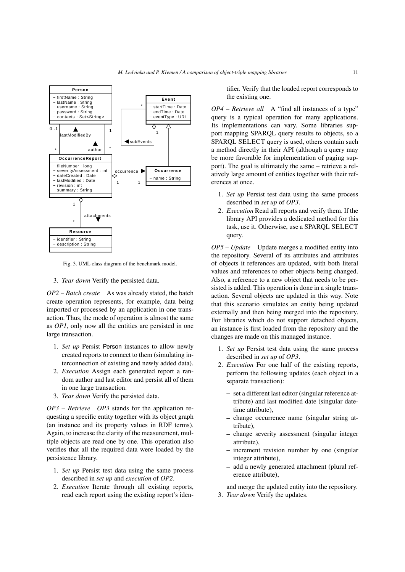<span id="page-10-0"></span>

Fig. 3. UML class diagram of the benchmark model.

3. *Tear down* Verify the persisted data.

*OP2 – Batch create* As was already stated, the batch create operation represents, for example, data being imported or processed by an application in one transaction. Thus, the mode of operation is almost the same as *OP1*, only now all the entities are persisted in one large transaction.

- 1. *Set up* Persist Person instances to allow newly created reports to connect to them (simulating interconnection of existing and newly added data).
- 2. *Execution* Assign each generated report a random author and last editor and persist all of them in one large transaction.
- 3. *Tear down* Verify the persisted data.

*OP3 – Retrieve OP3* stands for the application requesting a specific entity together with its object graph (an instance and its property values in RDF terms). Again, to increase the clarity of the measurement, multiple objects are read one by one. This operation also verifies that all the required data were loaded by the persistence library.

- 1. *Set up* Persist test data using the same process described in *set up* and *execution* of *OP2*.
- 2. *Execution* Iterate through all existing reports, read each report using the existing report's iden-

tifier. Verify that the loaded report corresponds to the existing one.

*OP4 – Retrieve all* A "find all instances of a type" query is a typical operation for many applications. Its implementations can vary. Some libraries support mapping SPARQL query results to objects, so a SPARQL SELECT query is used, others contain such a method directly in their API (although a query may be more favorable for implementation of paging support). The goal is ultimately the same – retrieve a relatively large amount of entities together with their references at once.

- 1. *Set up* Persist test data using the same process described in *set up* of *OP3*.
- 2. *Execution* Read all reports and verify them. If the library API provides a dedicated method for this task, use it. Otherwise, use a SPARQL SELECT query.

*OP5 – Update* Update merges a modified entity into the repository. Several of its attributes and attributes of objects it references are updated, with both literal values and references to other objects being changed. Also, a reference to a new object that needs to be persisted is added. This operation is done in a single transaction. Several objects are updated in this way. Note that this scenario simulates an entity being updated externally and then being merged into the repository. For libraries which do not support detached objects, an instance is first loaded from the repository and the changes are made on this managed instance.

- 1. *Set up* Persist test data using the same process described in *set up* of *OP3*.
- 2. *Execution* For one half of the existing reports, perform the following updates (each object in a separate transaction):
	- set a different last editor (singular reference attribute) and last modified date (singular datetime attribute),
	- change occurrence name (singular string attribute),
	- change severity assessment (singular integer attribute),
	- increment revision number by one (singular integer attribute),
	- add a newly generated attachment (plural reference attribute),

and merge the updated entity into the repository. 3. *Tear down* Verify the updates.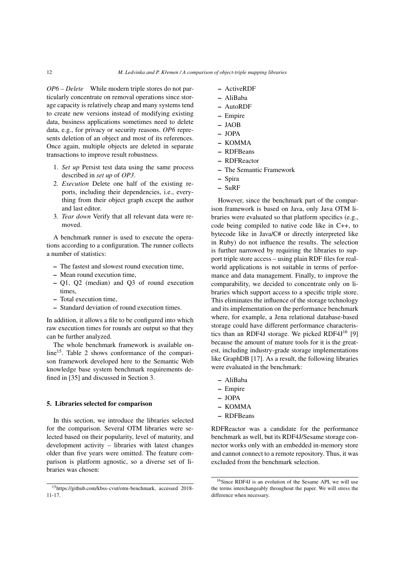*OP6 – Delete* While modern triple stores do not particularly concentrate on removal operations since storage capacity is relatively cheap and many systems tend to create new versions instead of modifying existing data, business applications sometimes need to delete data, e.g., for privacy or security reasons. *OP6* represents deletion of an object and most of its references. Once again, multiple objects are deleted in separate transactions to improve result robustness.

- 1. *Set up* Persist test data using the same process described in *set up* of *OP3*.
- 2. *Execution* Delete one half of the existing reports, including their dependencies, i.e., everything from their object graph except the author and last editor.
- 3. *Tear down* Verify that all relevant data were removed.

A benchmark runner is used to execute the operations according to a configuration. The runner collects a number of statistics:

- The fastest and slowest round execution time,
- Mean round execution time,
- Q1, Q2 (median) and Q3 of round execution times,
- Total execution time,
- Standard deviation of round execution times.

In addition, it allows a file to be configured into which raw execution times for rounds are output so that they can be further analyzed.

The whole benchmark framework is available on-line<sup>[15](#page-11-1)</sup>. Table [2](#page-12-0) shows conformance of the comparison framework developed here to the Semantic Web knowledge base system benchmark requirements defined in [\[35\]](#page-43-2) and discussed in Section [3.](#page-3-0)

## <span id="page-11-0"></span>5. Libraries selected for comparison

In this section, we introduce the libraries selected for the comparison. Several OTM libraries were selected based on their popularity, level of maturity, and development activity – libraries with latest changes older than five years were omitted. The feature comparison is platform agnostic, so a diverse set of libraries was chosen:

- ActiveRDF
- AliBaba
- AutoRDF
- Empire
- $IAOB$
- JOPA
- KOMMA
- RDFBeans
- RDFReactor
- The Semantic Framework
- Spira
- SuRF

However, since the benchmark part of the comparison framework is based on Java, only Java OTM libraries were evaluated so that platform specifics (e.g., code being compiled to native code like in C++, to bytecode like in Java/C# or directly interpreted like in Ruby) do not influence the results. The selection is further narrowed by requiring the libraries to support triple store access – using plain RDF files for realworld applications is not suitable in terms of performance and data management. Finally, to improve the comparability, we decided to concentrate only on libraries which support access to a specific triple store. This eliminates the influence of the storage technology and its implementation on the performance benchmark where, for example, a Jena relational database-based storage could have different performance characteristics than an RDF4J storage. We picked RDF4J $16$  [\[9\]](#page-42-8) because the amount of mature tools for it is the greatest, including industry-grade storage implementations like GraphDB [\[17\]](#page-42-16). As a result, the following libraries were evaluated in the benchmark:

- AliBaba
- Empire
- JOPA
- KOMMA
- RDFBeans

RDFReactor was a candidate for the performance benchmark as well, but its RDF4J/Sesame storage connector works only with an embedded in-memory store and cannot connect to a remote repository. Thus, it was excluded from the benchmark selection.

<span id="page-11-1"></span><sup>15</sup>[https://github.com/kbss-cvut/otm-benchmark,](https://github.com/kbss-cvut/otm-benchmark) accessed 2018- 11-17.

<span id="page-11-2"></span><sup>&</sup>lt;sup>16</sup>Since RDF4J is an evolution of the Sesame API, we will use the terms interchangeably throughout the paper. We will stress the difference when necessary.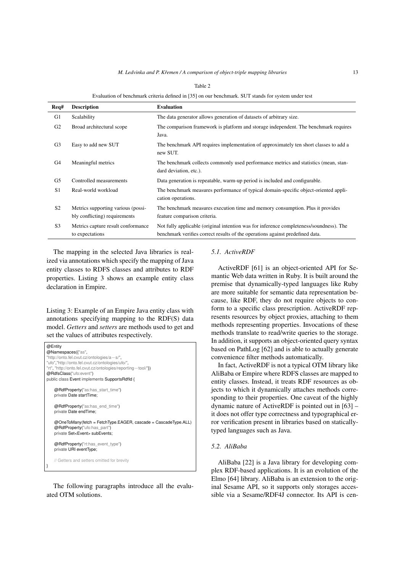|--|

Evaluation of benchmark criteria defined in [\[35\]](#page-43-2) on our benchmark. SUT stands for system under test

<span id="page-12-0"></span>

| Req#           | <b>Description</b>                                                  | <b>Evaluation</b>                                                                                                                                                        |
|----------------|---------------------------------------------------------------------|--------------------------------------------------------------------------------------------------------------------------------------------------------------------------|
| G1             | Scalability                                                         | The data generator allows generation of datasets of arbitrary size.                                                                                                      |
| G <sub>2</sub> | Broad architectural scope                                           | The comparison framework is platform and storage independent. The benchmark requires<br>Java.                                                                            |
| G <sub>3</sub> | Easy to add new SUT                                                 | The benchmark API requires implementation of approximately ten short classes to add a<br>new SUT.                                                                        |
| G4             | Meaningful metrics                                                  | The benchmark collects commonly used performance metrics and statistics (mean, stan-<br>dard deviation, etc.).                                                           |
| G5             | Controlled measurements                                             | Data generation is repeatable, warm-up period is included and configurable.                                                                                              |
| S <sub>1</sub> | Real-world workload                                                 | The benchmark measures performance of typical domain-specific object-oriented appli-<br>cation operations.                                                               |
| S <sub>2</sub> | Metrics supporting various (possi-<br>bly conflicting) requirements | The benchmark measures execution time and memory consumption. Plus it provides<br>feature comparison criteria.                                                           |
| S <sub>3</sub> | Metrics capture result conformance<br>to expectations               | Not fully applicable (original intention was for inference completeness/soundness). The<br>benchmark verifies correct results of the operations against predefined data. |

The mapping in the selected Java libraries is realized via annotations which specify the mapping of Java entity classes to RDFS classes and attributes to RDF properties. Listing [3](#page-12-1) shows an example entity class declaration in Empire.

<span id="page-12-1"></span>Listing 3: Example of an Empire Java entity class with annotations specifying mapping to the RDF(S) data model. *Getters* and *setters* are methods used to get and set the values of attributes respectively.



The following paragraphs introduce all the evaluated OTM solutions.

# *5.1. ActiveRDF*

ActiveRDF [\[61\]](#page-44-0) is an object-oriented API for Semantic Web data written in Ruby. It is built around the premise that dynamically-typed languages like Ruby are more suitable for semantic data representation because, like RDF, they do not require objects to conform to a specific class prescription. ActiveRDF represents resources by object proxies, attaching to them methods representing properties. Invocations of these methods translate to read/write queries to the storage. In addition, it supports an object-oriented query syntax based on PathLog [\[62\]](#page-44-1) and is able to actually generate convenience filter methods automatically.

In fact, ActiveRDF is not a typical OTM library like AliBaba or Empire where RDFS classes are mapped to entity classes. Instead, it treats RDF resources as objects to which it dynamically attaches methods corresponding to their properties. One caveat of the highly dynamic nature of ActiveRDF is pointed out in [\[63\]](#page-44-2) – it does not offer type correctness and typographical error verification present in libraries based on staticallytyped languages such as Java.

## *5.2. AliBaba*

AliBaba [\[22\]](#page-42-21) is a Java library for developing complex RDF-based applications. It is an evolution of the Elmo [\[64\]](#page-44-3) library. AliBaba is an extension to the original Sesame API, so it supports only storages accessible via a Sesame/RDF4J connector. Its API is cen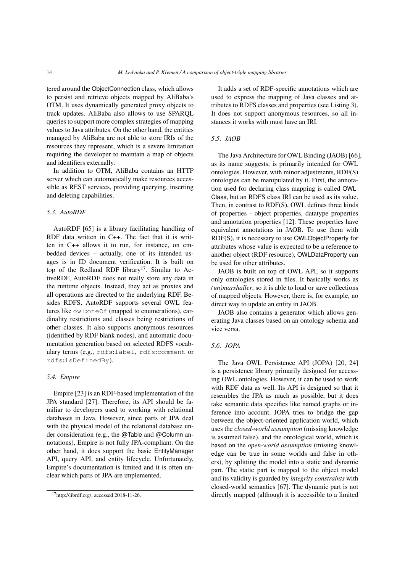tered around the ObjectConnection class, which allows to persist and retrieve objects mapped by AliBaba's OTM. It uses dynamically generated proxy objects to track updates. AliBaba also allows to use SPARQL queries to support more complex strategies of mapping values to Java attributes. On the other hand, the entities managed by AliBaba are not able to store IRIs of the resources they represent, which is a severe limitation requiring the developer to maintain a map of objects and identifiers externally.

In addition to OTM, AliBaba contains an HTTP server which can automatically make resources accessible as REST services, providing querying, inserting and deleting capabilities.

## *5.3. AutoRDF*

AutoRDF [\[65\]](#page-44-4) is a library facilitating handling of RDF data written in C++. The fact that it is written in C++ allows it to run, for instance, on embedded devices – actually, one of its intended usages is in ID document verification. It is built on top of the Redland RDF library<sup>[17](#page-13-0)</sup>. Similar to ActiveRDF, AutoRDF does not really store any data in the runtime objects. Instead, they act as proxies and all operations are directed to the underlying RDF. Besides RDFS, AutoRDF supports several OWL features like owl:oneOf (mapped to enumerations), cardinality restrictions and classes being restrictions of other classes. It also supports anonymous resources (identified by RDF blank nodes), and automatic documentation generation based on selected RDFS vocabulary terms (e.g., rdfs:label, rdfs:comment or rdfs:isDefinedBy).

#### *5.4. Empire*

Empire [\[23\]](#page-42-22) is an RDF-based implementation of the JPA standard [\[27\]](#page-42-26). Therefore, its API should be familiar to developers used to working with relational databases in Java. However, since parts of JPA deal with the physical model of the relational database under consideration (e.g., the @Table and @Column annotations), Empire is not fully JPA-compliant. On the other hand, it does support the basic EntityManager API, query API, and entity lifecycle. Unfortunately, Empire's documentation is limited and it is often unclear which parts of JPA are implemented.

It adds a set of RDF-specific annotations which are used to express the mapping of Java classes and attributes to RDFS classes and properties (see Listing [3\)](#page-12-1). It does not support anonymous resources, so all instances it works with must have an IRI.

#### *5.5. JAOB*

The Java Architecture for OWL Binding (JAOB) [\[66\]](#page-44-5), as its name suggests, is primarily intended for OWL ontologies. However, with minor adjustments, RDF(S) ontologies can be manipulated by it. First, the annotation used for declaring class mapping is called OWL-Class, but an RDFS class IRI can be used as its value. Then, in contrast to RDF(S), OWL defines three kinds of properties - object properties, datatype properties and annotation properties [\[12\]](#page-42-11). These properties have equivalent annotations in JAOB. To use them with RDF(S), it is necessary to use OWLObjectProperty for attributes whose value is expected to be a reference to another object (RDF resource), OWLDataProperty can be used for other attributes.

JAOB is built on top of OWL API, so it supports only ontologies stored in files. It basically works as *(un)marshaller*, so it is able to load or save collections of mapped objects. However, there is, for example, no direct way to update an entity in JAOB.

JAOB also contains a generator which allows generating Java classes based on an ontology schema and vice versa.

## *5.6. JOPA*

The Java OWL Persistence API (JOPA) [\[20,](#page-42-19) [24\]](#page-42-23) is a persistence library primarily designed for accessing OWL ontologies. However, it can be used to work with RDF data as well. Its API is designed so that it resembles the JPA as much as possible, but it does take semantic data specifics like named graphs or inference into account. JOPA tries to bridge the gap between the object-oriented application world, which uses the *closed-world assumption* (missing knowledge is assumed false), and the ontological world, which is based on the *open-world assumption* (missing knowledge can be true in some worlds and false in others), by splitting the model into a static and dynamic part. The static part is mapped to the object model and its validity is guarded by *integrity constraints* with closed-world semantics [\[67\]](#page-44-6). The dynamic part is not directly mapped (although it is accessible to a limited

<span id="page-13-0"></span><sup>17</sup>[http://librdf.org/,](http://librdf.org/) accessed 2018-11-26.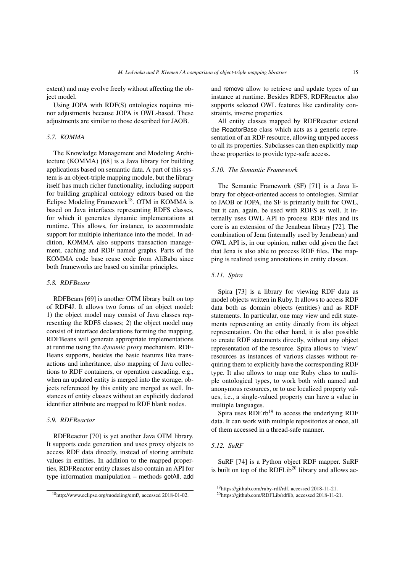extent) and may evolve freely without affecting the object model.

Using JOPA with RDF(S) ontologies requires minor adjustments because JOPA is OWL-based. These adjustments are similar to those described for JAOB.

# *5.7. KOMMA*

The Knowledge Management and Modeling Architecture (KOMMA) [\[68\]](#page-44-7) is a Java library for building applications based on semantic data. A part of this system is an object-triple mapping module, but the library itself has much richer functionality, including support for building graphical ontology editors based on the Eclipse Modeling Framework[18](#page-14-0). OTM in KOMMA is based on Java interfaces representing RDFS classes, for which it generates dynamic implementations at runtime. This allows, for instance, to accommodate support for multiple inheritance into the model. In addition, KOMMA also supports transaction management, caching and RDF named graphs. Parts of the KOMMA code base reuse code from AliBaba since both frameworks are based on similar principles.

#### *5.8. RDFBeans*

RDFBeans [\[69\]](#page-44-8) is another OTM library built on top of RDF4J. It allows two forms of an object model: 1) the object model may consist of Java classes representing the RDFS classes; 2) the object model may consist of interface declarations forming the mapping, RDFBeans will generate appropriate implementations at runtime using the *dynamic proxy* mechanism. RDF-Beans supports, besides the basic features like transactions and inheritance, also mapping of Java collections to RDF containers, or operation cascading, e.g., when an updated entity is merged into the storage, objects referenced by this entity are merged as well. Instances of entity classes without an explicitly declared identifier attribute are mapped to RDF blank nodes.

# *5.9. RDFReactor*

RDFReactor [\[70\]](#page-44-9) is yet another Java OTM library. It supports code generation and uses proxy objects to access RDF data directly, instead of storing attribute values in entities. In addition to the mapped properties, RDFReactor entity classes also contain an API for type information manipulation – methods getAll, add and remove allow to retrieve and update types of an instance at runtime. Besides RDFS, RDFReactor also supports selected OWL features like cardinality constraints, inverse properties.

All entity classes mapped by RDFReactor extend the ReactorBase class which acts as a generic representation of an RDF resource, allowing untyped access to all its properties. Subclasses can then explicitly map these properties to provide type-safe access.

#### *5.10. The Semantic Framework*

The Semantic Framework (SF) [\[71\]](#page-44-10) is a Java library for object-oriented access to ontologies. Similar to JAOB or JOPA, the SF is primarily built for OWL, but it can, again, be used with RDFS as well. It internally uses OWL API to process RDF files and its core is an extension of the Jenabean library [\[72\]](#page-44-11). The combination of Jena (internally used by Jenabean) and OWL API is, in our opinion, rather odd given the fact that Jena is also able to process RDF files. The mapping is realized using annotations in entity classes.

#### *5.11. Spira*

Spira [\[73\]](#page-44-12) is a library for viewing RDF data as model objects written in Ruby. It allows to access RDF data both as domain objects (entities) and as RDF statements. In particular, one may view and edit statements representing an entity directly from its object representation. On the other hand, it is also possible to create RDF statements directly, without any object representation of the resource. Spira allows to 'view' resources as instances of various classes without requiring them to explicitly have the corresponding RDF type. It also allows to map one Ruby class to multiple ontological types, to work both with named and anonymous resources, or to use localized property values, i.e., a single-valued property can have a value in multiple languages.

Spira uses  $RDF.rb^{19}$  $RDF.rb^{19}$  $RDF.rb^{19}$  to access the underlying RDF data. It can work with multiple repositories at once, all of them accessed in a thread-safe manner.

## *5.12. SuRF*

SuRF [\[74\]](#page-44-13) is a Python object RDF mapper. SuRF is built on top of the RDFLib<sup>[20](#page-14-2)</sup> library and allows ac-

<span id="page-14-0"></span><sup>18</sup>[http://www.eclipse.org/modeling/emf/,](http://www.eclipse.org/modeling/emf/) accessed 2018-01-02.

<span id="page-14-1"></span><sup>19</sup>[https://github.com/ruby-rdf/rdf,](https://github.com/ruby-rdf/rdf) accessed 2018-11-21.

<span id="page-14-2"></span><sup>20</sup>[https://github.com/RDFLib/rdflib,](https://github.com/RDFLib/rdflib) accessed 2018-11-21.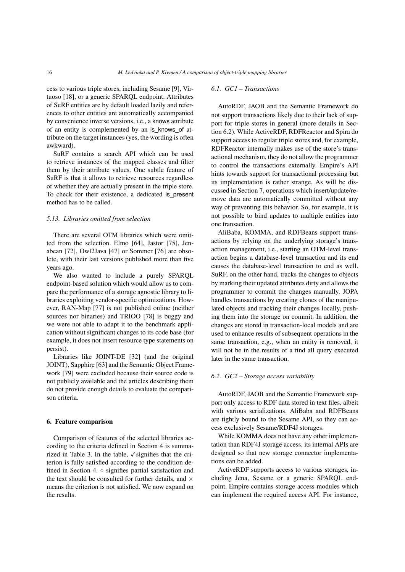cess to various triple stores, including Sesame [\[9\]](#page-42-8), Virtuoso [\[18\]](#page-42-17), or a generic SPARQL endpoint. Attributes of SuRF entities are by default loaded lazily and references to other entities are automatically accompanied by convenience inverse versions, i.e., a knows attribute of an entity is complemented by an is knows of attribute on the target instances (yes, the wording is often awkward).

SuRF contains a search API which can be used to retrieve instances of the mapped classes and filter them by their attribute values. One subtle feature of SuRF is that it allows to retrieve resources regardless of whether they are actually present in the triple store. To check for their existence, a dedicated is\_present method has to be called.

#### *5.13. Libraries omitted from selection*

There are several OTM libraries which were omitted from the selection. Elmo [\[64\]](#page-44-3), Jastor [\[75\]](#page-44-14), Jenabean [\[72\]](#page-44-11), Owl2Java [\[47\]](#page-43-14) or Sommer [\[76\]](#page-44-15) are obsolete, with their last versions published more than five years ago.

We also wanted to include a purely SPARQL endpoint-based solution which would allow us to compare the performance of a storage agnostic library to libraries exploiting vendor-specific optimizations. However, RAN-Map [\[77\]](#page-44-16) is not published online (neither sources nor binaries) and TRIOO [\[78\]](#page-44-17) is buggy and we were not able to adapt it to the benchmark application without significant changes to its code base (for example, it does not insert resource type statements on persist).

Libraries like JOINT-DE [\[32\]](#page-42-31) (and the original JOINT), Sapphire [\[63\]](#page-44-2) and the Semantic Object Framework [\[79\]](#page-44-18) were excluded because their source code is not publicly available and the articles describing them do not provide enough details to evaluate the comparison criteria.

#### <span id="page-15-0"></span>6. Feature comparison

Comparison of features of the selected libraries according to the criteria defined in Section [4](#page-4-0) is summa-rized in Table [3.](#page-16-0) In the table,  $\checkmark$  signifies that the criterion is fully satisfied according to the condition defined in Section [4.](#page-4-0) ◦ signifies partial satisfaction and the text should be consulted for further details, and  $\times$ means the criterion is not satisfied. We now expand on the results.

#### *6.1. GC1 – Transactions*

AutoRDF, JAOB and the Semantic Framework do not support transactions likely due to their lack of support for triple stores in general (more details in Section [6.2\)](#page-15-1). While ActiveRDF, RDFReactor and Spira do support access to regular triple stores and, for example, RDFReactor internally makes use of the store's transactional mechanism, they do not allow the programmer to control the transactions externally. Empire's API hints towards support for transactional processing but its implementation is rather strange. As will be discussed in Section [7,](#page-19-0) operations which insert/update/remove data are automatically committed without any way of preventing this behavior. So, for example, it is not possible to bind updates to multiple entities into one transaction.

AliBaba, KOMMA, and RDFBeans support transactions by relying on the underlying storage's transaction management, i.e., starting an OTM-level transaction begins a database-level transaction and its end causes the database-level transaction to end as well. SuRF, on the other hand, tracks the changes to objects by marking their updated attributes dirty and allows the programmer to commit the changes manually. JOPA handles transactions by creating clones of the manipulated objects and tracking their changes locally, pushing them into the storage on commit. In addition, the changes are stored in transaction-local models and are used to enhance results of subsequent operations in the same transaction, e.g., when an entity is removed, it will not be in the results of a find all query executed later in the same transaction.

#### <span id="page-15-1"></span>*6.2. GC2 – Storage access variability*

AutoRDF, JAOB and the Semantic Framework support only access to RDF data stored in text files, albeit with various serializations. AliBaba and RDFBeans are tightly bound to the Sesame API, so they can access exclusively Sesame/RDF4J storages.

While KOMMA does not have any other implementation than RDF4J storage access, its internal APIs are designed so that new storage connector implementations can be added.

ActiveRDF supports access to various storages, including Jena, Sesame or a generic SPARQL endpoint. Empire contains storage access modules which can implement the required access API. For instance,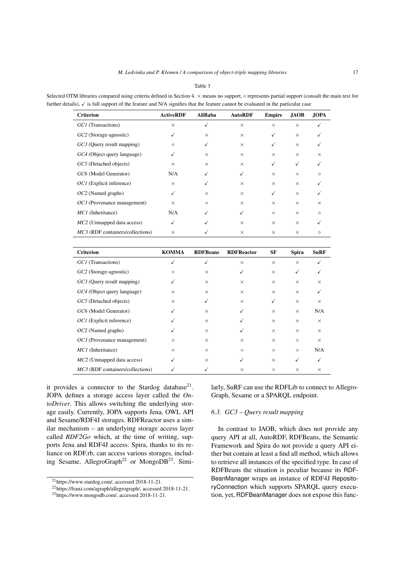<span id="page-16-0"></span>Selected OTM libraries compared using criteria defined in Section [4.](#page-4-0) × means no support,  $\circ$  represents partial support (consult the main text for further details),  $\checkmark$  is full support of the feature and N/A signifies that the feature cannot be evaluated in the particular case

| <b>Criterion</b>                 | <b>ActiveRDF</b> | <b>AliBaba</b> | <b>AutoRDF</b> | <b>Empire</b> | <b>JAOB</b> | <b>JOPA</b> |
|----------------------------------|------------------|----------------|----------------|---------------|-------------|-------------|
| GC1 (Transactions)               | $\times$         | ✓              | $\times$       | $\circ$       | $\times$    |             |
| GC2 (Storage-agnostic)           | √                | $\times$       | $\times$       | $\checkmark$  | $\times$    |             |
| GC3 (Query result mapping)       | $\circ$          | ✓              | $\times$       |               | $\times$    |             |
| GC4 (Object query language)      | √                | $\times$       | $\times$       | $\times$      | $\times$    | $\times$    |
| GC5 (Detached objects)           | $\times$         | $\times$       | $\times$       | $\checkmark$  | √           |             |
| GC6 (Model Generator)            | N/A              | ✓              | ✓              | $\times$      | $\circ$     | $\circ$     |
| <i>OC1</i> (Explicit inference)  | $\times$         | √              | $\times$       | $\times$      | $\times$    |             |
| $OC2$ (Named graphs)             | √                | $\times$       | $\times$       | $\checkmark$  | $\times$    |             |
| OC3 (Provenance management)      | $\times$         | $\circ$        | $\times$       | $\times$      | $\times$    | $\times$    |
| <i>MC1</i> (Inheritance)         | N/A              | ✓              | √              | $\circ$       | $\times$    | $\circ$     |
| $MC2$ (Unmapped data access)     | ✓                | ✓              | $\times$       | $\times$      | $\times$    |             |
| MC3 (RDF containers/collections) | ×                | √              | X              | $\times$      | $\times$    | $\circ$     |

| <b>Criterion</b>                  | <b>KOMMA</b> | <b>RDFBeans</b> | <b>RDFReactor</b> | SF       | <b>Spira</b> | <b>SuRF</b> |
|-----------------------------------|--------------|-----------------|-------------------|----------|--------------|-------------|
| GC1 (Transactions)                |              | $\checkmark$    | $\times$          | $\times$ | $\times$     |             |
| GC2 (Storage-agnostic)            | $\circ$      | $\times$        | ✓                 | $\times$ | ✓            |             |
| GC3 (Query result mapping)        | ✓            | $\times$        | $\times$          | $\times$ | $\times$     | $\times$    |
| GC4 (Object query language)       | $\times$     | $\times$        | $\times$          | $\times$ | $\times$     | √           |
| GC5 (Detached objects)            | $\times$     | $\checkmark$    | $\times$          | ✓        | $\times$     | $\times$    |
| GC6 (Model Generator)             | ✓            | $\times$        | ✓                 | $\times$ | $\times$     | N/A         |
| <i>OC1</i> (Explicit inference)   |              | $\times$        |                   | $\times$ | $\times$     | $\times$    |
| $OC2$ (Named graphs)              |              | $\times$        |                   | $\times$ | $\times$     | $\times$    |
| $OC3$ (Provenance management)     | $\circ$      | $\times$        | $\times$          | $\times$ | $\circ$      | $\times$    |
| MC1 (Inheritance)                 | $\circ$      | $\circ$         | $\circ$           | $\circ$  | $\circ$      | N/A         |
| <i>MC2</i> (Unmapped data access) | ✓            | $\times$        | $\checkmark$      | $\times$ | $\checkmark$ | √           |
| MC3 (RDF containers/collections)  |              |                 | $\times$          | $\circ$  | $\times$     | $\times$    |

it provides a connector to the Stardog database<sup>[21](#page-16-1)</sup>. JOPA defines a storage access layer called the *OntoDriver*. This allows switching the underlying storage easily. Currently, JOPA supports Jena, OWL API and Sesame/RDF4J storages. RDFReactor uses a similar mechanism – an underlying storage access layer called *RDF2Go* which, at the time of writing, supports Jena and RDF4J access. Spira, thanks to its reliance on RDF.rb, can access various storages, includ-ing Sesame, AllegroGraph<sup>[22](#page-16-2)</sup> or MongoDB<sup>[23](#page-16-3)</sup>. Similarly, SuRF can use the RDFLib to connect to Allegro-Graph, Sesame or a SPARQL endpoint.

# *6.3. GC3 – Query result mapping*

In contrast to JAOB, which does not provide any query API at all, AutoRDF, RDFBeans, the Semantic Framework and Spira do not provide a query API either but contain at least a find all method, which allows to retrieve all instances of the specified type. In case of RDFBeans the situation is peculiar because its RDF-BeanManager wraps an instance of RDF4J RepositoryConnection which supports SPARQL query execution, yet, RDFBeanManager does not expose this func-

<span id="page-16-1"></span><sup>21</sup>[https://www.stardog.com/,](https://www.stardog.com/) accessed 2018-11-21.

<span id="page-16-2"></span><sup>22</sup>[https://franz.com/agraph/allegrograph/,](https://franz.com/agraph/allegrograph/) accessed 2018-11-21.

<span id="page-16-3"></span> $^{23}$ [https://www.mongodb.com/,](https://www.mongodb.com/) accessed 2018-11-21.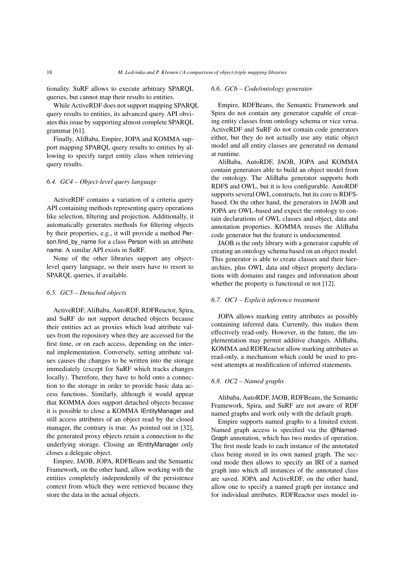tionality. SuRF allows to execute arbitrary SPARQL queries, but cannot map their results to entities.

While ActiveRDF does not support mapping SPARQL query results to entities, its advanced query API obviates this issue by supporting almost complete SPARQL grammar [\[61\]](#page-44-0).

Finally, AliBaba, Empire, JOPA and KOMMA support mapping SPARQL query results to entities by allowing to specify target entity class when retrieving query results.

#### *6.4. GC4 – Object-level query language*

ActiveRDF contains a variation of a criteria query API containing methods representing query operations like selection, filtering and projection. Additionally, it automatically generates methods for filtering objects by their properties, e.g., it will provide a method Person.find by name for a class Person with an attribute name. A similar API exists in SuRF.

None of the other libraries support any objectlevel query language, so their users have to resort to SPARQL queries, if available.

#### *6.5. GC5 – Detached objects*

ActiveRDF, AliBaba, AutoRDF, RDFReactor, Spira, and SuRF do not support detached objects because their entities act as proxies which load attribute values from the repository when they are accessed for the first time, or on each access, depending on the internal implementation. Conversely, setting attribute values causes the changes to be written into the storage immediately (except for SuRF which tracks changes locally). Therefore, they have to hold onto a connection to the storage in order to provide basic data access functions. Similarly, although it would appear that KOMMA does support detached objects because it is possible to close a KOMMA IEntityManager and still access attributes of an object read by the closed manager, the contrary is true. As pointed out in [\[32\]](#page-42-31), the generated proxy objects retain a connection to the underlying storage. Closing an IEntityManager only closes a delegate object.

Empire, JAOB, JOPA, RDFBeans and the Semantic Framework, on the other hand, allow working with the entities completely independently of the persistence context from which they were retrieved because they store the data in the actual objects.

#### *6.6. GC6 – Code/ontology generator*

Empire, RDFBeans, the Semantic Framework and Spira do not contain any generator capable of creating entity classes from ontology schema or vice versa. ActiveRDF and SuRF do not contain code generators either, but they do not actually use any static object model and all entity classes are generated on demand at runtime.

AliBaba, AutoRDF, JAOB, JOPA and KOMMA contain generators able to build an object model from the ontology. The AliBaba generator supports both RDFS and OWL, but it is less configurable. AutoRDF supports several OWL constructs, but its core is RDFSbased. On the other hand, the generators in JAOB and JOPA are OWL-based and expect the ontology to contain declarations of OWL classes and object, data and annotation properties. KOMMA reuses the AliBaba code generator but the feature is undocumented.

JAOB is the only library with a generator capable of creating an ontology schema based on an object model. This generator is able to create classes and their hierarchies, plus OWL data and object property declarations with domains and ranges and information about whether the property is functional or not [\[12\]](#page-42-11).

## *6.7. OC1 – Explicit inference treatment*

JOPA allows marking entity attributes as possibly containing inferred data. Currently, this makes them effectively read-only. However, in the future, the implementation may permit additive changes. AliBaba, KOMMA and RDFReactor allow marking attributes as read-only, a mechanism which could be used to prevent attempts at modification of inferred statements.

#### *6.8. OC2 – Named graphs*

Alibaba, AutoRDF, JAOB, RDFBeans, the Semantic Framework, Spira, and SuRF are not aware of RDF named graphs and work only with the default graph.

Empire supports named graphs to a limited extent. Named graph access is specified via the @Named-Graph annotation, which has two modes of operation. The first mode leads to each instance of the annotated class being stored in its own named graph. The second mode then allows to specify an IRI of a named graph into which all instances of the annotated class are saved. JOPA and ActiveRDF, on the other hand, allow one to specify a named graph per instance and for individual attributes. RDFReactor uses model in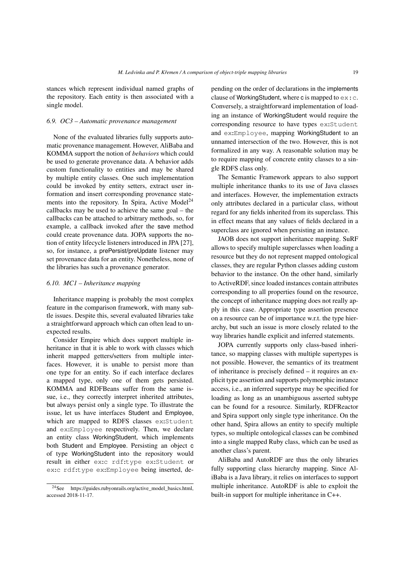stances which represent individual named graphs of the repository. Each entity is then associated with a single model.

#### *6.9. OC3 – Automatic provenance management*

None of the evaluated libraries fully supports automatic provenance management. However, AliBaba and KOMMA support the notion of *behaviors* which could be used to generate provenance data. A behavior adds custom functionality to entities and may be shared by multiple entity classes. One such implementation could be invoked by entity setters, extract user information and insert corresponding provenance state-ments into the repository. In Spira, Active Model<sup>[24](#page-18-0)</sup> callbacks may be used to achieve the same goal – the callbacks can be attached to arbitrary methods, so, for example, a callback invoked after the save method could create provenance data. JOPA supports the notion of entity lifecycle listeners introduced in JPA [\[27\]](#page-42-26), so, for instance, a prePersist/preUpdate listener may set provenance data for an entity. Nonetheless, none of the libraries has such a provenance generator.

## *6.10. MC1 – Inheritance mapping*

Inheritance mapping is probably the most complex feature in the comparison framework, with many subtle issues. Despite this, several evaluated libraries take a straightforward approach which can often lead to unexpected results.

Consider Empire which does support multiple inheritance in that it is able to work with classes which inherit mapped getters/setters from multiple interfaces. However, it is unable to persist more than one type for an entity. So if each interface declares a mapped type, only one of them gets persisted. KOMMA and RDFBeans suffer from the same issue, i.e., they correctly interpret inherited attributes, but always persist only a single type. To illustrate the issue, let us have interfaces Student and Employee, which are mapped to RDFS classes ex:Student and ex:Employee respectively. Then, we declare an entity class WorkingStudent, which implements both Student and Employee. Persisting an object c of type WorkingStudent into the repository would result in either ex:c rdf:type ex:Student or ex:c rdf:type ex:Employee being inserted, depending on the order of declarations in the implements clause of WorkingStudent, where c is mapped to  $ex: c$ . Conversely, a straightforward implementation of loading an instance of WorkingStudent would require the corresponding resource to have types ex:Student and ex:Employee, mapping WorkingStudent to an unnamed intersection of the two. However, this is not formalized in any way. A reasonable solution may be to require mapping of concrete entity classes to a single RDFS class only.

The Semantic Framework appears to also support multiple inheritance thanks to its use of Java classes and interfaces. However, the implementation extracts only attributes declared in a particular class, without regard for any fields inherited from its superclass. This in effect means that any values of fields declared in a superclass are ignored when persisting an instance.

JAOB does not support inheritance mapping. SuRF allows to specify multiple superclasses when loading a resource but they do not represent mapped ontological classes, they are regular Python classes adding custom behavior to the instance. On the other hand, similarly to ActiveRDF, since loaded instances contain attributes corresponding to all properties found on the resource, the concept of inheritance mapping does not really apply in this case. Appropriate type assertion presence on a resource can be of importance w.r.t. the type hierarchy, but such an issue is more closely related to the way libraries handle explicit and inferred statements.

JOPA currently supports only class-based inheritance, so mapping classes with multiple supertypes is not possible. However, the semantics of its treatment of inheritance is precisely defined – it requires an explicit type assertion and supports polymorphic instance access, i.e., an inferred supertype may be specified for loading as long as an unambiguous asserted subtype can be found for a resource. Similarly, RDFReactor and Spira support only single type inheritance. On the other hand, Spira allows an entity to specify multiple types, so multiple ontological classes can be combined into a single mapped Ruby class, which can be used as another class's parent.

AliBaba and AutoRDF are thus the only libraries fully supporting class hierarchy mapping. Since AliBaba is a Java library, it relies on interfaces to support multiple inheritance. AutoRDF is able to exploit the built-in support for multiple inheritance in C++.

<span id="page-18-0"></span><sup>24</sup>See [https://guides.rubyonrails.org/active\\_model\\_basics.html,](https://guides.rubyonrails.org/active_model_basics.html) accessed 2018-11-17.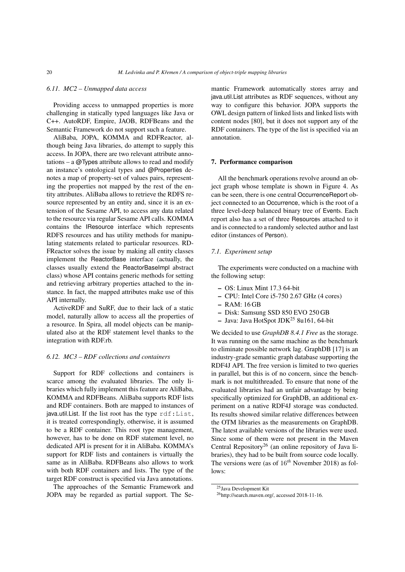#### *6.11. MC2 – Unmapped data access*

Providing access to unmapped properties is more challenging in statically typed languages like Java or C++. AutoRDF, Empire, JAOB, RDFBeans and the Semantic Framework do not support such a feature.

AliBaba, JOPA, KOMMA and RDFReactor, although being Java libraries, do attempt to supply this access. In JOPA, there are two relevant attribute annotations – a  $\omega$ Types attribute allows to read and modify an instance's ontological types and @Properties denotes a map of property-set of values pairs, representing the properties not mapped by the rest of the entity attributes. AliBaba allows to retrieve the RDFS resource represented by an entity and, since it is an extension of the Sesame API, to access any data related to the resource via regular Sesame API calls. KOMMA contains the IResource interface which represents RDFS resources and has utility methods for manipulating statements related to particular resources. RD-FReactor solves the issue by making all entity classes implement the ReactorBase interface (actually, the classes usually extend the ReactorBaseImpl abstract class) whose API contains generic methods for setting and retrieving arbitrary properties attached to the instance. In fact, the mapped attributes make use of this API internally.

ActiveRDF and SuRF, due to their lack of a static model, naturally allow to access all the properties of a resource. In Spira, all model objects can be manipulated also at the RDF statement level thanks to the integration with RDF.rb.

#### *6.12. MC3 – RDF collections and containers*

Support for RDF collections and containers is scarce among the evaluated libraries. The only libraries which fully implement this feature are AliBaba, KOMMA and RDFBeans. AliBaba supports RDF lists and RDF containers. Both are mapped to instances of java.util.List. If the list root has the type rdf:List, it is treated correspondingly, otherwise, it is assumed to be a RDF container. This root type management, however, has to be done on RDF statement level, no dedicated API is present for it in AliBaba. KOMMA's support for RDF lists and containers is virtually the same as in AliBaba. RDFBeans also allows to work with both RDF containers and lists. The type of the target RDF construct is specified via Java annotations.

The approaches of the Semantic Framework and JOPA may be regarded as partial support. The Semantic Framework automatically stores array and java.util.List attributes as RDF sequences, without any way to configure this behavior. JOPA supports the OWL design pattern of linked lists and linked lists with content nodes [\[80\]](#page-44-19), but it does not support any of the RDF containers. The type of the list is specified via an annotation.

#### <span id="page-19-0"></span>7. Performance comparison

All the benchmark operations revolve around an object graph whose template is shown in Figure [4.](#page-20-0) As can be seen, there is one central OccurrenceReport object connected to an Occurrence, which is the root of a three level-deep balanced binary tree of Events. Each report also has a set of three Resources attached to it and is connected to a randomly selected author and last editor (instances of Person).

## *7.1. Experiment setup*

The experiments were conducted on a machine with the following setup:

- OS: Linux Mint 17.3 64-bit
- CPU: Intel Core i5-750 2.67 GHz (4 cores)
- RAM: 16 GB
- Disk: Samsung SSD 850 EVO 250 GB
- Java: Java HotSpot JD $K^{25}$  $K^{25}$  $K^{25}$  8u161, 64-bit

We decided to use *GraphDB 8.4.1 Free* as the storage. It was running on the same machine as the benchmark to eliminate possible network lag. GraphDB [\[17\]](#page-42-16) is an industry-grade semantic graph database supporting the RDF4J API. The free version is limited to two queries in parallel, but this is of no concern, since the benchmark is not multithreaded. To ensure that none of the evaluated libraries had an unfair advantage by being specifically optimized for GraphDB, an additional experiment on a native RDF4J storage was conducted. Its results showed similar relative differences between the OTM libraries as the measurements on GraphDB. The latest available versions of the libraries were used. Since some of them were not present in the Maven Central Repository<sup>[26](#page-19-2)</sup> (an online repository of Java libraries), they had to be built from source code locally. The versions were (as of 16*th* November 2018) as follows:

<span id="page-19-1"></span><sup>25</sup>Java Development Kit

<span id="page-19-2"></span><sup>26</sup>[http://search.maven.org/,](http://search.maven.org/) accessed 2018-11-16.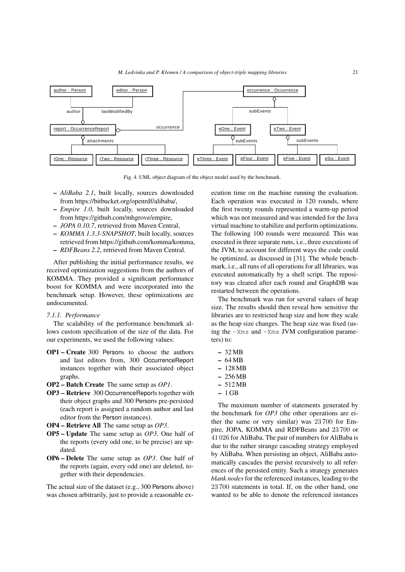<span id="page-20-0"></span>

Fig. 4. UML object diagram of the object model used by the benchmark.

- *AliBaba 2.1*, built locally, sources downloaded from [https://bitbucket.org/openrdf/alibaba/,](https://bitbucket.org/openrdf/alibaba/)
- *Empire 1.0*, built locally, sources downloaded from [https://github.com/mhgrove/empire,](https://github.com/mhgrove/empire)
- *JOPA 0.10.7*, retrieved from Maven Central,
- *KOMMA 1.3.3-SNAPSHOT*, built locally, sources retrieved from [https://github.com/komma/komma,](https://github.com/komma/komma)
- *RDFBeans 2.2*, retrieved from Maven Central.

After publishing the initial performance results, we received optimization suggestions from the authors of KOMMA. They provided a significant performance boost for KOMMA and were incorporated into the benchmark setup. However, these optimizations are undocumented.

## *7.1.1. Performance*

The scalability of the performance benchmark allows custom specification of the size of the data. For our experiments, we used the following values:

- OP1 Create 300 Persons to choose the authors and last editors from, 300 OccurrenceReport instances together with their associated object graphs.
- OP2 Batch Create The same setup as *OP1*.
- OP3 Retrieve 300 OccurrenceReports together with their object graphs and 300 Persons pre-persisted (each report is assigned a random author and last editor from the Person instances).
- OP4 Retrieve All The same setup as *OP3*.
- OP5 Update The same setup as *OP3*. One half of the reports (every odd one, to be precise) are updated.
- OP6 Delete The same setup as *OP3*. One half of the reports (again, every odd one) are deleted, together with their dependencies.

The actual size of the dataset (e.g., 300 Persons above) was chosen arbitrarily, just to provide a reasonable execution time on the machine running the evaluation. Each operation was executed in 120 rounds, where the first twenty rounds represented a warm-up period which was not measured and was intended for the Java virtual machine to stabilize and perform optimizations. The following 100 rounds were measured. This was executed in three separate runs, i.e., three executions of the JVM, to account for different ways the code could be optimized, as discussed in [\[31\]](#page-42-30). The whole benchmark, i.e., all runs of all operations for all libraries, was executed automatically by a shell script. The repository was cleared after each round and GraphDB was restarted between the operations.

The benchmark was run for several values of heap size. The results should then reveal how sensitive the libraries are to restricted heap size and how they scale as the heap size changes. The heap size was fixed (using the -Xms and -Xmx JVM configuration parameters) to:

- 32 MB – 64 MB
- 128 MB
- $-256MB$
- 512 MB
- $-1$  GB

The maximum number of statements generated by the benchmark for *OP3* (the other operations are either the same or very similar) was 23 700 for Empire, JOPA, KOMMA and RDFBeans and 23 700 or 41 026 for AliBaba. The pair of numbers for AliBaba is due to the rather strange cascading strategy employed by AliBaba. When persisting an object, AliBaba automatically cascades the persist recursively to all references of the persisted entity. Such a strategy generates *blank nodes* for the referenced instances, leading to the 23 700 statements in total. If, on the other hand, one wanted to be able to denote the referenced instances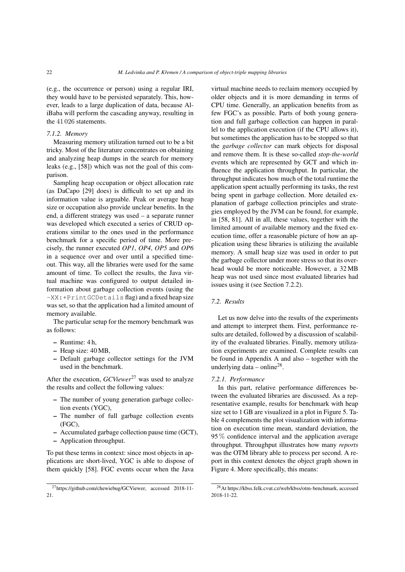(e.g., the occurrence or person) using a regular IRI, they would have to be persisted separately. This, however, leads to a large duplication of data, because AliBaba will perform the cascading anyway, resulting in the 41 026 statements.

#### *7.1.2. Memory*

Measuring memory utilization turned out to be a bit tricky. Most of the literature concentrates on obtaining and analyzing heap dumps in the search for memory leaks (e.g., [\[58\]](#page-43-25)) which was not the goal of this comparison.

Sampling heap occupation or object allocation rate (as DaCapo [\[29\]](#page-42-28) does) is difficult to set up and its information value is arguable. Peak or average heap size or occupation also provide unclear benefits. In the end, a different strategy was used – a separate runner was developed which executed a series of CRUD operations similar to the ones used in the performance benchmark for a specific period of time. More precisely, the runner executed *OP1*, *OP4*, *OP5* and *OP6* in a sequence over and over until a specified timeout. This way, all the libraries were used for the same amount of time. To collect the results, the Java virtual machine was configured to output detailed information about garbage collection events (using the -XX:+PrintGCDetails flag) and a fixed heap size was set, so that the application had a limited amount of memory available.

The particular setup for the memory benchmark was as follows:

- Runtime: 4 h,
- Heap size: 40 MB,
- Default garbage collector settings for the JVM used in the benchmark.

After the execution, *GCViewer*<sup>[27](#page-21-0)</sup> was used to analyze the results and collect the following values:

- The number of young generation garbage collection events (YGC),
- The number of full garbage collection events (FGC),
- Accumulated garbage collection pause time (GCT),
- Application throughput.

To put these terms in context: since most objects in applications are short-lived, YGC is able to dispose of them quickly [\[58\]](#page-43-25). FGC events occur when the Java virtual machine needs to reclaim memory occupied by older objects and it is more demanding in terms of CPU time. Generally, an application benefits from as few FGC's as possible. Parts of both young generation and full garbage collection can happen in parallel to the application execution (if the CPU allows it), but sometimes the application has to be stopped so that the *garbage collector* can mark objects for disposal and remove them. It is these so-called *stop-the-world* events which are represented by GCT and which influence the application throughput. In particular, the throughput indicates how much of the total runtime the application spent actually performing its tasks, the rest being spent in garbage collection. More detailed explanation of garbage collection principles and strategies employed by the JVM can be found, for example, in [\[58,](#page-43-25) [81\]](#page-44-20). All in all, these values, together with the limited amount of available memory and the fixed execution time, offer a reasonable picture of how an application using these libraries is utilizing the available memory. A small heap size was used in order to put the garbage collector under more stress so that its overhead would be more noticeable. However, a 32 MB heap was not used since most evaluated libraries had issues using it (see Section [7.2.2\)](#page-26-0).

# *7.2. Results*

Let us now delve into the results of the experiments and attempt to interpret them. First, performance results are detailed, followed by a discussion of scalability of the evaluated libraries. Finally, memory utilization experiments are examined. Complete results can be found in Appendix [A](#page-29-1) and also – together with the underlying data  $-$  online<sup>[28](#page-21-1)</sup>.

#### <span id="page-21-2"></span>*7.2.1. Performance*

In this part, relative performance differences between the evaluated libraries are discussed. As a representative example, results for benchmark with heap size set to 1 GB are visualized in a plot in Figure [5.](#page-24-0) Table [4](#page-23-0) complements the plot visualization with information on execution time mean, standard deviation, the 95 % confidence interval and the application average throughput. Throughput illustrates how many *reports* was the OTM library able to process per second. A report in this context denotes the object graph shown in Figure [4.](#page-20-0) More specifically, this means:

<span id="page-21-0"></span><sup>27</sup>[https://github.com/chewiebug/GCViewer,](https://github.com/chewiebug/GCViewer) accessed 2018-11- 21.

<span id="page-21-1"></span><sup>28</sup>At [https://kbss.felk.cvut.cz/web/kbss/otm-benchmark,](https://kbss.felk.cvut.cz/web/kbss/otm-benchmark) accessed 2018-11-22.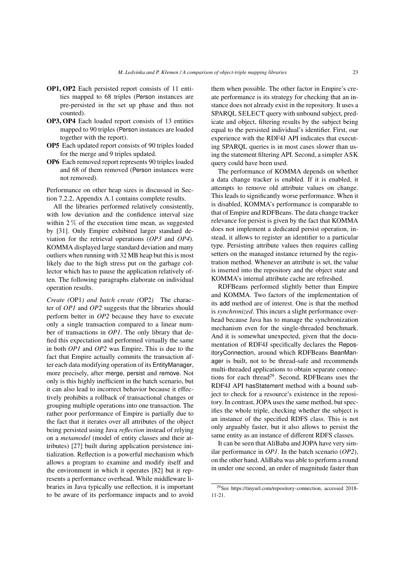- OP1, OP2 Each persisted report consists of 11 entities mapped to 68 triples (Person instances are pre-persisted in the set up phase and thus not counted).
- OP3, OP4 Each loaded report consists of 13 entities mapped to 90 triples (Person instances are loaded together with the report).
- OP5 Each updated report consists of 90 triples loaded for the merge and 9 triples updated.
- OP6 Each removed report represents 90 triples loaded and 68 of them removed (Person instances were not removed).

Performance on other heap sizes is discussed in Section [7.2.2,](#page-26-0) Appendix [A.1](#page-29-0) contains complete results.

All the libraries performed relatively consistently, with low deviation and the confidence interval size within  $2\%$  of the execution time mean, as suggested by [\[31\]](#page-42-30). Only Empire exhibited larger standard deviation for the retrieval operations (*OP3* and *OP4*). KOMMA displayed large standard deviation and many outliers when running with 32 MB heap but this is most likely due to the high stress put on the garbage collector which has to pause the application relatively often. The following paragraphs elaborate on individual operation results.

*Create (*OP1*) and batch create (*OP2*)* The character of *OP1* and *OP2* suggests that the libraries should perform better in *OP2* because they have to execute only a single transaction compared to a linear number of transactions in *OP1*. The only library that defied this expectation and performed virtually the same in both *OP1* and *OP2* was Empire. This is due to the fact that Empire actually commits the transaction after each data modifying operation of its EntityManager, more precisely, after merge, persist and remove. Not only is this highly inefficient in the batch scenario, but it can also lead to incorrect behavior because it effectively prohibits a rollback of transactional changes or grouping multiple operations into one transaction. The rather poor performance of Empire is partially due to the fact that it iterates over all attributes of the object being persisted using Java *reflection* instead of relying on a *metamodel* (model of entity classes and their attributes) [\[27\]](#page-42-26) built during application persistence initialization. Reflection is a powerful mechanism which allows a program to examine and modify itself and the environment in which it operates [\[82\]](#page-44-21) but it represents a performance overhead. While middleware libraries in Java typically use reflection, it is important to be aware of its performance impacts and to avoid them when possible. The other factor in Empire's create performance is its strategy for checking that an instance does not already exist in the repository. It uses a SPARQL SELECT query with unbound subject, predicate and object, filtering results by the subject being equal to the persisted individual's identifier. First, our experience with the RDF4J API indicates that executing SPARQL queries is in most cases slower than using the statement filtering API. Second, a simpler ASK query could have been used.

The performance of KOMMA depends on whether a data change tracker is enabled. If it is enabled, it attempts to remove old attribute values on change. This leads to significantly worse performance. When it is disabled, KOMMA's performance is comparable to that of Empire and RDFBeans. The data change tracker relevance for persist is given by the fact that KOMMA does not implement a dedicated persist operation, instead, it allows to register an identifier to a particular type. Persisting attribute values then requires calling setters on the managed instance returned by the registration method. Whenever an attribute is set, the value is inserted into the repository and the object state and KOMMA's internal attribute cache are refreshed.

RDFBeans performed slightly better than Empire and KOMMA. Two factors of the implementation of its add method are of interest. One is that the method is *synchronized*. This incurs a slight performance overhead because Java has to manage the synchronization mechanism even for the single-threaded benchmark. And it is somewhat unexpected, given that the documentation of RDF4J specifically declares the RepositoryConnection, around which RDFBeans BeanManager is built, not to be thread-safe and recommends multi-threaded applications to obtain separate connec-tions for each thread<sup>[29](#page-22-0)</sup>. Second, RDFBeans uses the RDF4J API hasStatement method with a bound subject to check for a resource's existence in the repository. In contrast, JOPA uses the same method, but specifies the whole triple, checking whether the subject is an instance of the specified RDFS class. This is not only arguably faster, but it also allows to persist the same entity as an instance of different RDFS classes.

It can be seen that AliBaba and JOPA have very similar performance in *OP1*. In the batch scenario (*OP2*), on the other hand, AliBaba was able to perform a round in under one second, an order of magnitude faster than

<span id="page-22-0"></span><sup>29</sup>See [https://tinyurl.com/repository-connection,](https://tinyurl.com/repository-connection) accessed 2018- 11-21.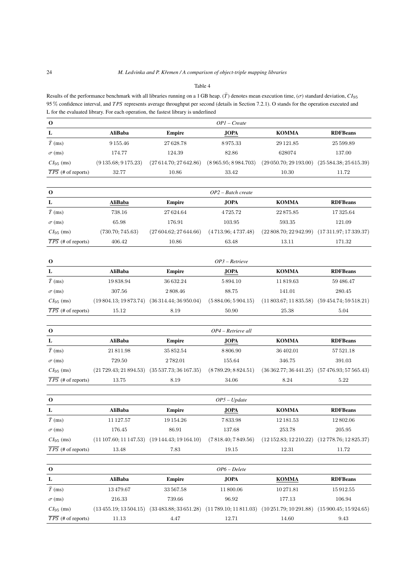<span id="page-23-0"></span>Results of the performance benchmark with all libraries running on a 1 GB heap. ( $\bar{T}$ ) denotes mean execution time, ( $\sigma$ ) standard deviation,  $CI_{95}$ 95 % confidence interval, and *T PS* represents average throughput per second (details in Section [7.2.1\)](#page-21-2). O stands for the operation executed and L for the evaluated library. For each operation, the fastest library is underlined

| $\mathbf{o}$         | $OP1 - Create$     |                      |                     |                            |                            |
|----------------------|--------------------|----------------------|---------------------|----------------------------|----------------------------|
| L                    | <b>AliBaba</b>     | Empire               | <b>JOPA</b>         | <b>KOMMA</b>               | <b>RDFBeans</b>            |
| $\bar{T}$ (ms)       | 9 1 5 5 4 6        | 27628.78             | 8975.33             | 29 1 21.85                 | 25 599.89                  |
| $\sigma$ (ms)        | 174.77             | 124.39               | 82.86               | 628074                     | 137.00                     |
| $Cl95$ (ms)          | (9135.68; 9175.23) | (27614.70; 27642.86) | (8965.95; 8984.703) | $(29\,050.70; 29\,193.00)$ | $(25\,584.38; 25\,615.39)$ |
| $TPS$ (# of reports) | 32.77              | 10.86                | 33.42               | 10.30                      | 11.72                      |
|                      |                    |                      |                     |                            |                            |

| $\mathbf{o}$         | $OP2 - Batch create$ |                      |                    |                      |                      |  |
|----------------------|----------------------|----------------------|--------------------|----------------------|----------------------|--|
| L                    | AliBaba              | Empire               | <b>JOPA</b>        | <b>KOMMA</b>         | <b>RDFBeans</b>      |  |
| $\bar{T}$ (ms)       | 738.16               | 27624.64             | 4 7 2 5 . 7 2      | 22875.85             | 17325.64             |  |
| $\sigma$ (ms)        | 65.98                | 176.91               | 103.95             | 593.35               | 121.09               |  |
| $Cl95$ (ms)          | (730.70; 745.63)     | (27604.62; 27644.66) | (4713.96; 4737.48) | (22808.70; 22942.99) | (17311.97; 17339.37) |  |
| $TPS$ (# of reports) | 406.42               | 10.86                | 63.48              | 13.11                | 171.32               |  |

| $\mathbf{o}$                    |                      |                      | $OP3 - Retrieved$  |                      |                            |
|---------------------------------|----------------------|----------------------|--------------------|----------------------|----------------------------|
| L                               | AliBaba              | Empire               | <b>JOPA</b>        | <b>KOMMA</b>         | <b>RDFBeans</b>            |
| $\bar{T}$ (ms)                  | 19838.94             | 36 632.24            | 5894.10            | 11819.63             | 59486.47                   |
| $\sigma$ (ms)                   | 307.56               | 2 808.46             | 88.75              | 141.01               | 280.45                     |
| $Cl95$ (ms)                     | (19804.13; 19873.74) | (36314.44; 36950.04) | (5884.06; 5904.15) | (11803.67; 11835.58) | $(59\,454.74; 59\,518.21)$ |
| $\overline{TPS}$ (# of reports) | 15.12                | 8.19                 | 50.90              | 25.38                | 5.04                       |

| $\mathbf{o}$                    | OP4 – Retrieve all   |                            |                    |                      |                      |  |
|---------------------------------|----------------------|----------------------------|--------------------|----------------------|----------------------|--|
| L                               | AliBaba              | Empire                     | <b>JOPA</b>        | <b>KOMMA</b>         | <b>RDFBeans</b>      |  |
| $\bar{T}$ (ms)                  | 21811.98             | 35 852.54                  | 8806.90            | 36 402.01            | 57521.18             |  |
| $\sigma$ (ms)                   | 729.50               | 2782.01                    | 155.64             | 346.75               | 391.03               |  |
| $Cl95$ (ms)                     | (21729.43; 21894.53) | $(35\,537.73; 36\,167.35)$ | (8789.29; 8824.51) | (36362.77; 36441.25) | (57476.93; 57565.43) |  |
| $\overline{TPS}$ (# of reports) | 13.75                | 8.19                       | 34.06              | 8.24                 | 5.22                 |  |

| $\mathbf{o}$                    |                            |                      | $OP5-Update$       |                                                       |                 |
|---------------------------------|----------------------------|----------------------|--------------------|-------------------------------------------------------|-----------------|
| L                               | <b>AliBaba</b>             | Empire               | <b>JOPA</b>        | <b>KOMMA</b>                                          | <b>RDFBeans</b> |
| $\bar{T}$ (ms)                  | 11 127.57                  | 19 154.26            | 7833.98            | 12 18 1.53                                            | 12802.06        |
| $\sigma$ (ms)                   | 176.45                     | 86.91                | 137.68             | 253.78                                                | 205.95          |
| $Cl95$ (ms)                     | $(11\,107.60; 11\,147.53)$ | (19144.43; 19164.10) | (7818.40; 7849.56) | $(12\,152.83; 12\,210.22)$ $(12\,778.76; 12\,825.37)$ |                 |
| $\overline{TPS}$ (# of reports) | 13.48                      | 7.83                 | 19.15              | 12.31                                                 | 11.72           |

| $\mathbf{o}$       |                            |           | OP6 – Delete |                                                                                                             |                 |
|--------------------|----------------------------|-----------|--------------|-------------------------------------------------------------------------------------------------------------|-----------------|
| L                  | <b>AliBaba</b>             | Empire    | <b>JOPA</b>  | <b>KOMMA</b>                                                                                                | <b>RDFBeans</b> |
| $\bar{T}$ (ms)     | 13479.67                   | 33 567.58 | 11800.06     | 10 271.81                                                                                                   | 15912.55        |
| $\sigma$ (ms)      | 216.33                     | 739.66    | 96.92        | 177.13                                                                                                      | 106.94          |
| $Cl95$ (ms)        | $(13\,455.19; 13\,504.15)$ |           |              | $(33\,483.88; 33\,651.28)$ $(11\,789.10; 11\,811.03)$ $(10\,251.79; 10\,291.88)$ $(15\,900.45; 15\,924.65)$ |                 |
| TPS (# of reports) | 11.13                      | 4.47      | 12.71        | 14.60                                                                                                       | 9.43            |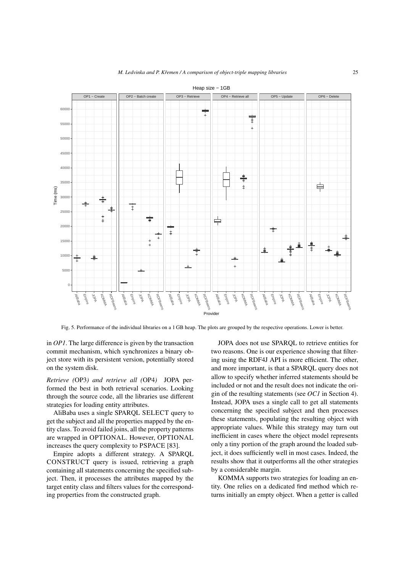<span id="page-24-0"></span>

Heap size − 1GB

Fig. 5. Performance of the individual libraries on a 1 GB heap. The plots are grouped by the respective operations. Lower is better.

in *OP1*. The large difference is given by the transaction commit mechanism, which synchronizes a binary object store with its persistent version, potentially stored on the system disk.

*Retrieve (*OP3*) and retrieve all (*OP4*)* JOPA performed the best in both retrieval scenarios. Looking through the source code, all the libraries use different strategies for loading entity attributes.

AliBaba uses a single SPARQL SELECT query to get the subject and all the properties mapped by the entity class. To avoid failed joins, all the property patterns are wrapped in OPTIONAL. However, OPTIONAL increases the query complexity to PSPACE [\[83\]](#page-44-22).

Empire adopts a different strategy. A SPARQL CONSTRUCT query is issued, retrieving a graph containing all statements concerning the specified subject. Then, it processes the attributes mapped by the target entity class and filters values for the corresponding properties from the constructed graph.

JOPA does not use SPARQL to retrieve entities for two reasons. One is our experience showing that filtering using the RDF4J API is more efficient. The other, and more important, is that a SPARQL query does not allow to specify whether inferred statements should be included or not and the result does not indicate the origin of the resulting statements (see *OC1* in Section [4\)](#page-4-0). Instead, JOPA uses a single call to get all statements concerning the specified subject and then processes these statements, populating the resulting object with appropriate values. While this strategy may turn out inefficient in cases where the object model represents only a tiny portion of the graph around the loaded subject, it does sufficiently well in most cases. Indeed, the results show that it outperforms all the other strategies by a considerable margin.

KOMMA supports two strategies for loading an entity. One relies on a dedicated find method which returns initially an empty object. When a getter is called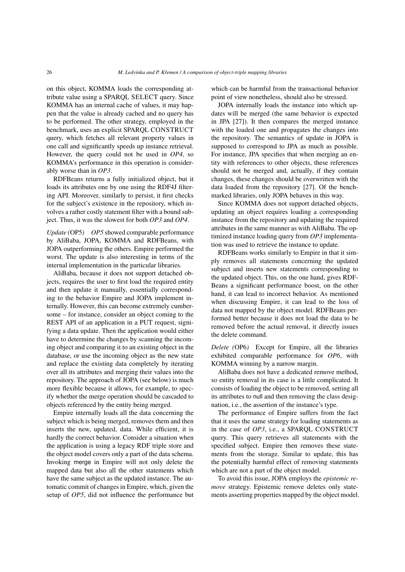on this object, KOMMA loads the corresponding attribute value using a SPARQL SELECT query. Since KOMMA has an internal cache of values, it may happen that the value is already cached and no query has to be performed. The other strategy, employed in the benchmark, uses an explicit SPARQL CONSTRUCT query, which fetches all relevant property values in one call and significantly speeds up instance retrieval. However, the query could not be used in *OP4*, so KOMMA's performance in this operation is considerably worse than in *OP3*.

RDFBeans returns a fully initialized object, but it loads its attributes one by one using the RDF4J filtering API. Moreover, similarly to persist, it first checks for the subject's existence in the repository, which involves a rather costly statement filter with a bound subject. Thus, it was the slowest for both *OP3* and *OP4*.

*Update (*OP5*) OP5* showed comparable performance by AliBaba, JOPA, KOMMA and RDFBeans, with JOPA outperforming the others. Empire performed the worst. The update is also interesting in terms of the internal implementation in the particular libraries.

AliBaba, because it does not support detached objects, requires the user to first load the required entity and then update it manually, essentially corresponding to the behavior Empire and JOPA implement internally. However, this can become extremely cumbersome – for instance, consider an object coming to the REST API of an application in a PUT request, signifying a data update. Then the application would either have to determine the changes by scanning the incoming object and comparing it to an existing object in the database, or use the incoming object as the new state and replace the existing data completely by iterating over all its attributes and merging their values into the repository. The approach of JOPA (see below) is much more flexible because it allows, for example, to specify whether the merge operation should be cascaded to objects referenced by the entity being merged.

Empire internally loads all the data concerning the subject which is being merged, removes them and then inserts the new, updated, data. While efficient, it is hardly the correct behavior. Consider a situation when the application is using a legacy RDF triple store and the object model covers only a part of the data schema. Invoking merge in Empire will not only delete the mapped data but also all the other statements which have the same subject as the updated instance. The automatic commit of changes in Empire, which, given the setup of *OP5*, did not influence the performance but which can be harmful from the transactional behavior point of view nonetheless, should also be stressed.

JOPA internally loads the instance into which updates will be merged (the same behavior is expected in JPA [\[27\]](#page-42-26)). It then compares the merged instance with the loaded one and propagates the changes into the repository. The semantics of update in JOPA is supposed to correspond to JPA as much as possible. For instance, JPA specifies that when merging an entity with references to other objects, these references should not be merged and, actually, if they contain changes, these changes should be overwritten with the data loaded from the repository [\[27\]](#page-42-26). Of the benchmarked libraries, only JOPA behaves in this way.

Since KOMMA does not support detached objects, updating an object requires loading a corresponding instance from the repository and updating the required attributes in the same manner as with AliBaba. The optimized instance loading query from *OP3* implementation was used to retrieve the instance to update.

RDFBeans works similarly to Empire in that it simply removes all statements concerning the updated subject and inserts new statements corresponding to the updated object. This, on the one hand, gives RDF-Beans a significant performance boost, on the other hand, it can lead to incorrect behavior. As mentioned when discussing Empire, it can lead to the loss of data not mapped by the object model. RDFBeans performed better because it does not load the data to be removed before the actual removal, it directly issues the delete command.

*Delete (*OP6*)* Except for Empire, all the libraries exhibited comparable performance for *OP6*, with KOMMA winning by a narrow margin.

AliBaba does not have a dedicated remove method, so entity removal in its case is a little complicated. It consists of loading the object to be removed, setting all its attributes to null and then removing the class designation, i.e., the assertion of the instance's type.

The performance of Empire suffers from the fact that it uses the same strategy for loading statements as in the case of *OP3*, i.e., a SPARQL CONSTRUCT query. This query retrieves all statements with the specified subject. Empire then removes these statements from the storage. Similar to update, this has the potentially harmful effect of removing statements which are not a part of the object model.

To avoid this issue, JOPA employs the *epistemic remove* strategy. Epistemic remove deletes only statements asserting properties mapped by the object model.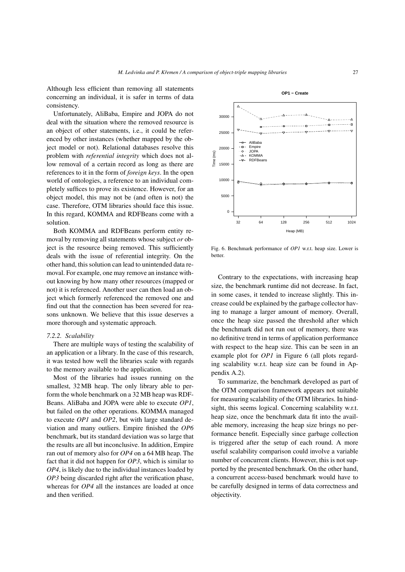●

 $\mathbf c$ 

5000

10000

15000

20000

25000

30000

Time (ms)

Although less efficient than removing all statements concerning an individual, it is safer in terms of data consistency.

Unfortunately, AliBaba, Empire and JOPA do not deal with the situation where the removed resource is an object of other statements, i.e., it could be referenced by other instances (whether mapped by the object model or not). Relational databases resolve this problem with *referential integrity* which does not allow removal of a certain record as long as there are references to it in the form of *foreign keys*. In the open world of ontologies, a reference to an individual completely suffices to prove its existence. However, for an object model, this may not be (and often is not) the case. Therefore, OTM libraries should face this issue. In this regard, KOMMA and RDFBeans come with a solution.

Both KOMMA and RDFBeans perform entity removal by removing all statements whose subject *or* object is the resource being removed. This sufficiently deals with the issue of referential integrity. On the other hand, this solution can lead to unintended data removal. For example, one may remove an instance without knowing by how many other resources (mapped or not) it is referenced. Another user can then load an object which formerly referenced the removed one and find out that the connection has been severed for reasons unknown. We believe that this issue deserves a more thorough and systematic approach.

#### <span id="page-26-0"></span>*7.2.2. Scalability*

There are multiple ways of testing the scalability of an application or a library. In the case of this research, it was tested how well the libraries scale with regards to the memory available to the application.

Most of the libraries had issues running on the smallest, 32 MB heap. The only library able to perform the whole benchmark on a 32 MB heap was RDF-Beans. AliBaba and JOPA were able to execute *OP1*, but failed on the other operations. KOMMA managed to execute *OP1* and *OP2*, but with large standard deviation and many outliers. Empire finished the *OP6* benchmark, but its standard deviation was so large that the results are all but inconclusive. In addition, Empire ran out of memory also for *OP4* on a 64 MB heap. The fact that it did not happen for *OP3*, which is similar to *OP4*, is likely due to the individual instances loaded by *OP3* being discarded right after the verification phase, whereas for *OP4* all the instances are loaded at once and then verified.

<span id="page-26-1"></span>- - Britainia  $\mathbf{a}$ ● AliBaba Empire JOPA -⊗-<br>-∆--**KOMMA** RDFBe

**OP1 − Create**

● ● ● ● ●

Fig. 6. Benchmark performance of *OP1* w.r.t. heap size. Lower is better.

32 64 128 256 512 1024

Heap (MB)

Contrary to the expectations, with increasing heap size, the benchmark runtime did not decrease. In fact, in some cases, it tended to increase slightly. This increase could be explained by the garbage collector having to manage a larger amount of memory. Overall, once the heap size passed the threshold after which the benchmark did not run out of memory, there was no definitive trend in terms of application performance with respect to the heap size. This can be seen in an example plot for *OP1* in Figure [6](#page-26-1) (all plots regarding scalability w.r.t. heap size can be found in Appendix [A.2\)](#page-39-0).

To summarize, the benchmark developed as part of the OTM comparison framework appears not suitable for measuring scalability of the OTM libraries. In hindsight, this seems logical. Concerning scalability w.r.t. heap size, once the benchmark data fit into the available memory, increasing the heap size brings no performance benefit. Especially since garbage collection is triggered after the setup of each round. A more useful scalability comparison could involve a variable number of concurrent clients. However, this is not supported by the presented benchmark. On the other hand, a concurrent access-based benchmark would have to be carefully designed in terms of data correctness and objectivity.

۸. . . . .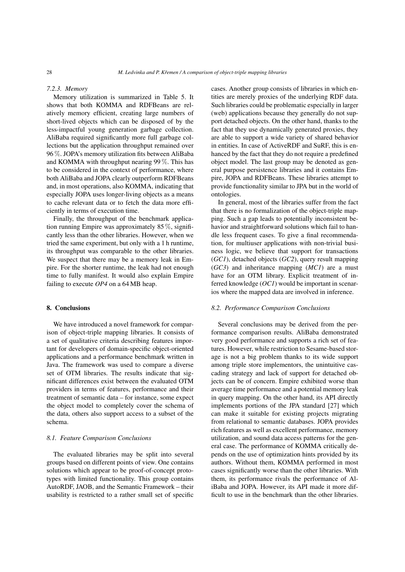#### *7.2.3. Memory*

Memory utilization is summarized in Table [5.](#page-28-0) It shows that both KOMMA and RDFBeans are relatively memory efficient, creating large numbers of short-lived objects which can be disposed of by the less-impactful young generation garbage collection. AliBaba required significantly more full garbage collections but the application throughput remained over 96 %. JOPA's memory utilization fits between AliBaba and KOMMA with throughput nearing 99 %. This has to be considered in the context of performance, where both AliBaba and JOPA clearly outperform RDFBeans and, in most operations, also KOMMA, indicating that especially JOPA uses longer-living objects as a means to cache relevant data or to fetch the data more efficiently in terms of execution time.

Finally, the throughput of the benchmark application running Empire was approximately  $85\%$ , significantly less than the other libraries. However, when we tried the same experiment, but only with a 1 h runtime, its throughput was comparable to the other libraries. We suspect that there may be a memory leak in Empire. For the shorter runtime, the leak had not enough time to fully manifest. It would also explain Empire failing to execute *OP4* on a 64 MB heap.

## <span id="page-27-0"></span>8. Conclusions

We have introduced a novel framework for comparison of object-triple mapping libraries. It consists of a set of qualitative criteria describing features important for developers of domain-specific object-oriented applications and a performance benchmark written in Java. The framework was used to compare a diverse set of OTM libraries. The results indicate that significant differences exist between the evaluated OTM providers in terms of features, performance and their treatment of semantic data – for instance, some expect the object model to completely cover the schema of the data, others also support access to a subset of the schema.

#### *8.1. Feature Comparison Conclusions*

The evaluated libraries may be split into several groups based on different points of view. One contains solutions which appear to be proof-of-concept prototypes with limited functionality. This group contains AutoRDF, JAOB, and the Semantic Framework – their usability is restricted to a rather small set of specific cases. Another group consists of libraries in which entities are merely proxies of the underlying RDF data. Such libraries could be problematic especially in larger (web) applications because they generally do not support detached objects. On the other hand, thanks to the fact that they use dynamically generated proxies, they are able to support a wide variety of shared behavior in entities. In case of ActiveRDF and SuRF, this is enhanced by the fact that they do not require a predefined object model. The last group may be denoted as general purpose persistence libraries and it contains Empire, JOPA and RDFBeans. These libraries attempt to provide functionality similar to JPA but in the world of ontologies.

In general, most of the libraries suffer from the fact that there is no formalization of the object-triple mapping. Such a gap leads to potentially inconsistent behavior and straightforward solutions which fail to handle less frequent cases. To give a final recommendation, for multiuser applications with non-trivial business logic, we believe that support for transactions (*GC1*), detached objects (*GC2*), query result mapping (*GC3*) and inheritance mapping (*MC1*) are a must have for an OTM library. Explicit treatment of inferred knowledge (*OC1*) would be important in scenarios where the mapped data are involved in inference.

## *8.2. Performance Comparison Conclusions*

Several conclusions may be derived from the performance comparison results. AliBaba demonstrated very good performance and supports a rich set of features. However, while restriction to Sesame-based storage is not a big problem thanks to its wide support among triple store implementors, the unintuitive cascading strategy and lack of support for detached objects can be of concern. Empire exhibited worse than average time performance and a potential memory leak in query mapping. On the other hand, its API directly implements portions of the JPA standard [\[27\]](#page-42-26) which can make it suitable for existing projects migrating from relational to semantic databases. JOPA provides rich features as well as excellent performance, memory utilization, and sound data access patterns for the general case. The performance of KOMMA critically depends on the use of optimization hints provided by its authors. Without them, KOMMA performed in most cases significantly worse than the other libraries. With them, its performance rivals the performance of AliBaba and JOPA. However, its API made it more difficult to use in the benchmark than the other libraries.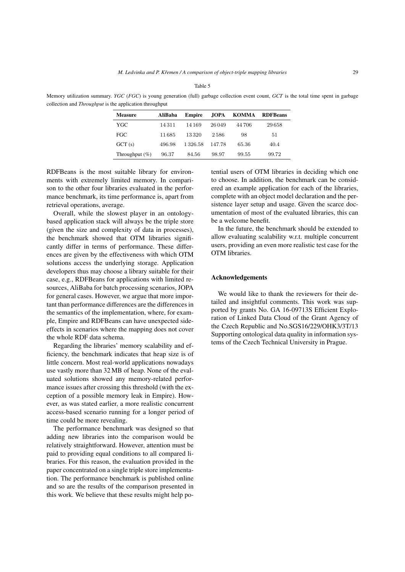<span id="page-28-0"></span>Memory utilization summary. *YGC* (*FGC*) is young generation (full) garbage collection event count, *GCT* is the total time spent in garbage collection and *Throughput* is the application throughput

| <b>Measure</b>    | AliBaba | <b>Empire</b> | JOPA   | KOMMA  | <b>RDFBeans</b> |
|-------------------|---------|---------------|--------|--------|-----------------|
| YGC               | 14311   | 14 169        | 26049  | 44 706 | 29658           |
| FGC               | 11685   | 13.320        | 2586   | 98     | 51              |
| GCT(s)            | 496.98  | 1.326.58      | 147.78 | 65.36  | 40.4            |
| Throughput $(\%)$ | 96.37   | 84.56         | 98.97  | 99.55  | 99.72           |

RDFBeans is the most suitable library for environments with extremely limited memory. In comparison to the other four libraries evaluated in the performance benchmark, its time performance is, apart from retrieval operations, average.

Overall, while the slowest player in an ontologybased application stack will always be the triple store (given the size and complexity of data in processes), the benchmark showed that OTM libraries significantly differ in terms of performance. These differences are given by the effectiveness with which OTM solutions access the underlying storage. Application developers thus may choose a library suitable for their case, e.g., RDFBeans for applications with limited resources, AliBaba for batch processing scenarios, JOPA for general cases. However, we argue that more important than performance differences are the differences in the semantics of the implementation, where, for example, Empire and RDFBeans can have unexpected sideeffects in scenarios where the mapping does not cover the whole RDF data schema.

Regarding the libraries' memory scalability and efficiency, the benchmark indicates that heap size is of little concern. Most real-world applications nowadays use vastly more than 32 MB of heap. None of the evaluated solutions showed any memory-related performance issues after crossing this threshold (with the exception of a possible memory leak in Empire). However, as was stated earlier, a more realistic concurrent access-based scenario running for a longer period of time could be more revealing.

The performance benchmark was designed so that adding new libraries into the comparison would be relatively straightforward. However, attention must be paid to providing equal conditions to all compared libraries. For this reason, the evaluation provided in the paper concentrated on a single triple store implementation. The performance benchmark is published online and so are the results of the comparison presented in this work. We believe that these results might help potential users of OTM libraries in deciding which one to choose. In addition, the benchmark can be considered an example application for each of the libraries, complete with an object model declaration and the persistence layer setup and usage. Given the scarce documentation of most of the evaluated libraries, this can be a welcome benefit.

In the future, the benchmark should be extended to allow evaluating scalability w.r.t. multiple concurrent users, providing an even more realistic test case for the OTM libraries.

#### Acknowledgements

We would like to thank the reviewers for their detailed and insightful comments. This work was supported by grants No. GA 16-09713S Efficient Exploration of Linked Data Cloud of the Grant Agency of the Czech Republic and No.SGS16/229/OHK3/3T/13 Supporting ontological data quality in information systems of the Czech Technical University in Prague.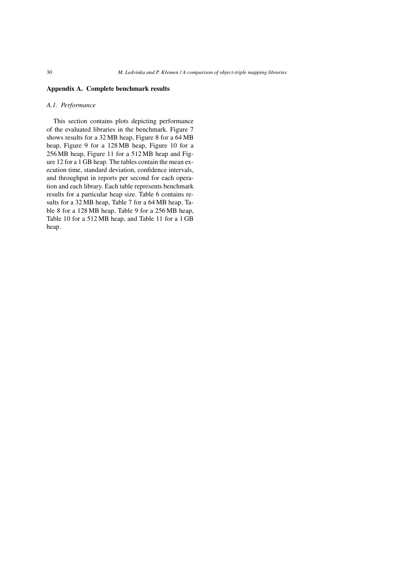#### <span id="page-29-1"></span>Appendix A. Complete benchmark results

## <span id="page-29-0"></span>*A.1. Performance*

This section contains plots depicting performance of the evaluated libraries in the benchmark. Figure [7](#page-30-0) shows results for a 32 MB heap, Figure [8](#page-30-1) for a 64 MB heap, Figure [9](#page-31-0) for a 128 MB heap, Figure [10](#page-31-1) for a 256 MB heap, Figure [11](#page-32-0) for a 512 MB heap and Figure [12](#page-32-1) for a 1 GB heap. The tables contain the mean execution time, standard deviation, confidence intervals, and throughput in reports per second for each operation and each library. Each table represents benchmark results for a particular heap size. Table [6](#page-33-0) contains results for a 32 MB heap, Table [7](#page-34-0) for a 64 MB heap, Table [8](#page-35-0) for a 128 MB heap, Table [9](#page-36-0) for a 256 MB heap, Table [10](#page-37-0) for a 512 MB heap, and Table [11](#page-38-0) for a 1 GB heap.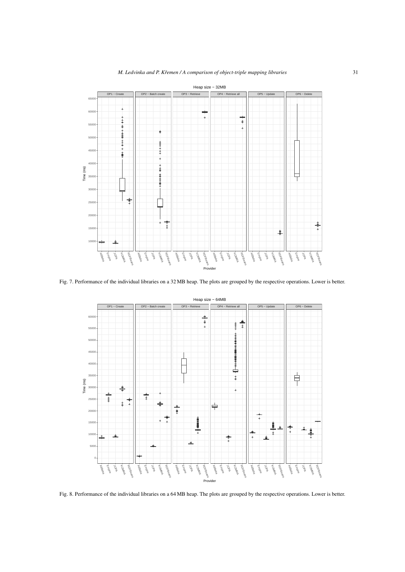<span id="page-30-0"></span>

<span id="page-30-1"></span>Fig. 7. Performance of the individual libraries on a 32 MB heap. The plots are grouped by the respective operations. Lower is better.



Fig. 8. Performance of the individual libraries on a 64 MB heap. The plots are grouped by the respective operations. Lower is better.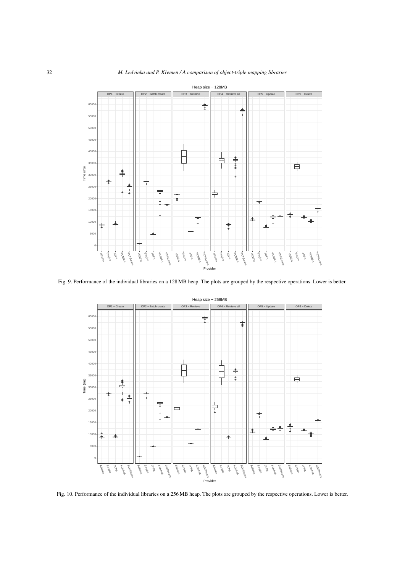<span id="page-31-0"></span>

<span id="page-31-1"></span>Fig. 9. Performance of the individual libraries on a 128 MB heap. The plots are grouped by the respective operations. Lower is better.



Fig. 10. Performance of the individual libraries on a 256 MB heap. The plots are grouped by the respective operations. Lower is better.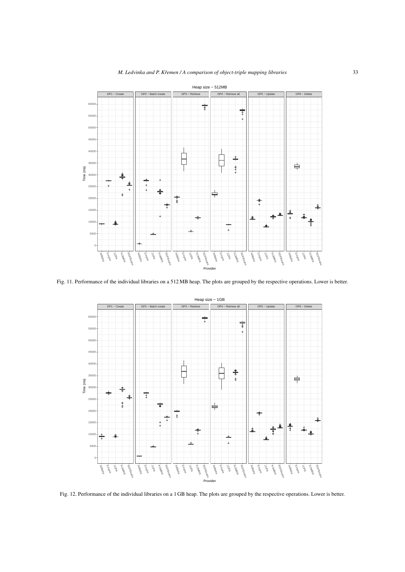<span id="page-32-0"></span>

<span id="page-32-1"></span>Fig. 11. Performance of the individual libraries on a 512 MB heap. The plots are grouped by the respective operations. Lower is better.



Fig. 12. Performance of the individual libraries on a 1 GB heap. The plots are grouped by the respective operations. Lower is better.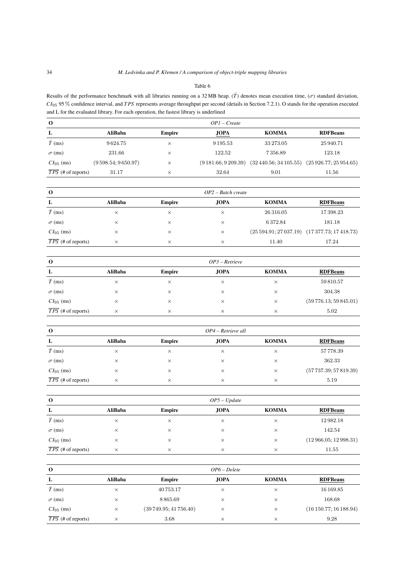<span id="page-33-0"></span>Results of the performance benchmark with all libraries running on a 32 MB heap.  $(\bar{T})$  denotes mean execution time,  $(\sigma)$  standard deviation, *CI*<sup>95</sup> 95 % confidence interval, and *T PS* represents average throughput per second (details in Section [7.2.1\)](#page-21-2). O stands for the operation executed and L for the evaluated library. For each operation, the fastest library is underlined

| $\mathbf 0$          |                    |          | $OP1 - Create$     |                                                       |                 |
|----------------------|--------------------|----------|--------------------|-------------------------------------------------------|-----------------|
| L                    | <b>AliBaba</b>     | Empire   | <b>JOPA</b>        | <b>KOMMA</b>                                          | <b>RDFBeans</b> |
| $\bar{T}$ (ms)       | 9624.75            | $\times$ | 9 1 9 5 . 5 3      | 33 273.05                                             | 25 940.71       |
| $\sigma$ (ms)        | 231.66             | $\times$ | 122.52             | 7356.89                                               | 123.18          |
| $Cl95$ (ms)          | (9598.54; 9650.97) | $\times$ | (9181.66; 9209.39) | $(32\,440.56; 34\,105.55)$ $(25\,926.77; 25\,954.65)$ |                 |
| $TPS$ (# of reports) | 31.17              | $\times$ | 32.64              | 9.01                                                  | 11.56           |

| $\mathbf{o}$                    |                |          | $OP2 - Batch create$ |          |                                                       |
|---------------------------------|----------------|----------|----------------------|----------|-------------------------------------------------------|
| L                               | <b>AliBaba</b> | Empire   | <b>JOPA</b>          | KOMMA    | <b>RDFBeans</b>                                       |
| $\bar{T}$ (ms)                  | $\times$       | $\times$ | $\times$             | 26316.05 | 17398.23                                              |
| $\sigma$ (ms)                   | $\times$       | $\times$ | $\times$             | 6372.84  | 181.18                                                |
| $Cl95$ (ms)                     | $\times$       | $\times$ | $\times$             |          | $(25\,594.91; 27\,037.19)$ $(17\,377.73; 17\,418.73)$ |
| $\overline{TPS}$ (# of reports) | $\times$       | $\times$ | X                    | 11.40    | 17.24                                                 |

| $\mathbf 0$                     |                |          |             |          |                            |
|---------------------------------|----------------|----------|-------------|----------|----------------------------|
| L                               | <b>AliBaba</b> | Empire   | <b>JOPA</b> | KOMMA    | <b>RDFBeans</b>            |
| $\bar{T}$ (ms)                  | $\times$       | $\times$ | X           | $\times$ | 59810.57                   |
| $\sigma$ (ms)                   | $\times$       | $\times$ | X           | $\times$ | 304.38                     |
| $Cl_{95}$ (ms)                  | $\times$       | $\times$ | ×           | $\times$ | $(59\,776.13; 59\,845.01)$ |
| $\overline{TPS}$ (# of reports) | $\times$       | $\times$ | ×           | $\times$ | 5.02                       |

| $\mathbf{o}$                    |                |               | $OP4 - Retrieved$ |              |                      |  |
|---------------------------------|----------------|---------------|-------------------|--------------|----------------------|--|
| L                               | <b>AliBaba</b> | <b>Empire</b> | <b>JOPA</b>       | <b>KOMMA</b> | <b>RDFBeans</b>      |  |
| $\bar{T}$ (ms)                  | $\times$       | $\times$      | X                 | $\times$     | 57778.39             |  |
| $\sigma$ (ms)                   | $\times$       | X             | $\times$          | $\times$     | 362.33               |  |
| $Cl_{95}$ (ms)                  | $\times$       | ×             | $\times$          | $\times$     | (57737.39; 57819.39) |  |
| $\overline{TPS}$ (# of reports) | $\times$       | X             | $\times$          | $\times$     | 5.19                 |  |

| $\mathbf 0$                     |                |        | $OP5-Update$ |              |                      |
|---------------------------------|----------------|--------|--------------|--------------|----------------------|
| L                               | <b>AliBaba</b> | Empire | <b>JOPA</b>  | <b>KOMMA</b> | <b>RDFBeans</b>      |
| $\bar{T}$ (ms)                  | $\times$       | ×      | $\times$     | $\times$     | 12982.18             |
| $\sigma$ (ms)                   | $\times$       | X      | $\times$     | $\times$     | 142.54               |
| $Cl_{95}$ (ms)                  | $\times$       | ×      | $\times$     | $\times$     | (12966.05; 12998.31) |
| $\overline{TPS}$ (# of reports) | $\times$       | ×      | $\times$     | $\times$     | 11.55                |

| $\mathbf 0$          |          |                      | $OP6 - Delete$ |          |                      |
|----------------------|----------|----------------------|----------------|----------|----------------------|
| L                    | AliBaba  | Empire               | <b>JOPA</b>    | KOMMA    | <b>RDFBeans</b>      |
| $\bar{T}$ (ms)       | $\times$ | 40753.17             | $\times$       | $\times$ | 16169.85             |
| $\sigma$ (ms)        | $\times$ | 8865.69              | $\times$       | $\times$ | 168.68               |
| $Cl_{95}$ (ms)       | $\times$ | (39749.95; 41756.40) | $\times$       | $\times$ | (16150.77; 16188.94) |
| $TPS$ (# of reports) | $\times$ | 3.68                 | $\times$       | $\times$ | 9.28                 |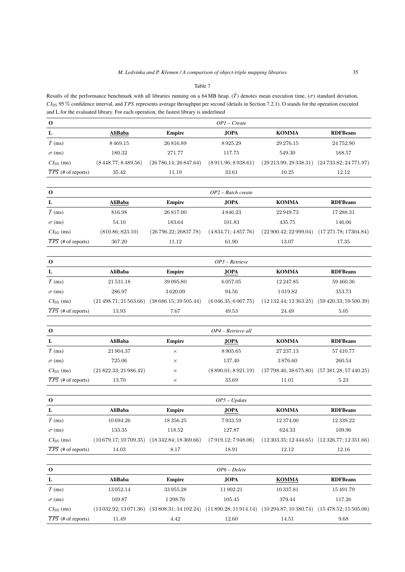<span id="page-34-0"></span>Results of the performance benchmark with all libraries running on a 64 MB heap.  $(\bar{T})$  denotes mean execution time,  $(\sigma)$  standard deviation, *CI*<sup>95</sup> 95 % confidence interval, and *T PS* represents average throughput per second (details in Section [7.2.1\)](#page-21-2). O stands for the operation executed and L for the evaluated library. For each operation, the fastest library is underlined

| $\mathbf{o}$         |                    |                      | $OP1 - Create$     |                            |                      |
|----------------------|--------------------|----------------------|--------------------|----------------------------|----------------------|
| L                    | AliBaba            | Empire               | <b>JOPA</b>        | <b>KOMMA</b>               | <b>RDFBeans</b>      |
| $\bar{T}$ (ms)       | 8469.15            | 26816.89             | 8925.29            | 29 276.15                  | 24 752.90            |
| $\sigma$ (ms)        | 180.32             | 271.77               | 117.75             | 549.30                     | 168.57               |
| $Cl95$ (ms)          | (8448.77; 8489.56) | (26786.14; 26847.64) | (8911.96; 8938.61) | $(29\,213.99; 29\,338.31)$ | (24733.82; 24771.97) |
| $TPS$ (# of reports) | 35.42              | 11.19                | 33.61              | 10.25                      | 12.12                |
|                      |                    |                      |                    |                            |                      |

| $\mathbf{o}$                    | $OP2 - Batch create$ |                      |                    |                      |                          |
|---------------------------------|----------------------|----------------------|--------------------|----------------------|--------------------------|
| L                               | <b>AliBaba</b>       | Empire               | <b>JOPA</b>        | <b>KOMMA</b>         | <b>RDFBeans</b>          |
| $\bar{T}$ (ms)                  | 816.98               | 26 817.00            | 4846.23            | 22949.73             | 17288.31                 |
| $\sigma$ (ms)                   | 54.10                | 183.64               | 101.83             | 435.75               | 146.06                   |
| $Cl_{95}$ (ms)                  | (810.86; 823.10)     | (26796.22; 26837.78) | (4834.71; 4857.76) | (22900.42; 22999.04) | $(17\,271.78; 17304.84)$ |
| $\overline{TPS}$ (# of reports) | 367.20               | 11.12                | 61.90              | 13.07                | 17.35                    |

| $\mathbf 0$                     |                      |                      | $OP3 - Retrieved$  |                      |                            |
|---------------------------------|----------------------|----------------------|--------------------|----------------------|----------------------------|
| L                               | AliBaba              | Empire               | <b>JOPA</b>        | <b>KOMMA</b>         | <b>RDFBeans</b>            |
| $\bar{T}$ (ms)                  | 21531.18             | 39 095.80            | 6057.05            | 12 247.85            | 59460.36                   |
| $\sigma$ (ms)                   | 286.97               | 3620.09              | 94.56              | 1 0 1 9 .8 2         | 353.73                     |
| $Cl95$ (ms)                     | (21498.71; 21563.66) | (38686.15; 39505.44) | (6046.35; 6067.75) | (12132.44; 12363.25) | $(59\,420.33; 59\,500.39)$ |
| $\overline{TPS}$ (# of reports) | 13.93                | 7.67                 | 49.53              | 24.49                | 5.05                       |

| $\mathbf{o}$                    |                      |          | $OP4$ – Retrieve all |                                               |                 |
|---------------------------------|----------------------|----------|----------------------|-----------------------------------------------|-----------------|
| L                               | <b>AliBaba</b>       | Empire   | <b>JOPA</b>          | <b>KOMMA</b>                                  | <b>RDFBeans</b> |
| $\bar{T}$ (ms)                  | 21 904.37            | $\times$ | 8905.65              | 27 237.13                                     | 57410.77        |
| $\sigma$ (ms)                   | 725.06               | $\times$ | 137.40               | 3876.60                                       | 260.54          |
| $Cl_{95}$ (ms)                  | (21822.33; 21986.42) | $\times$ | (8890.01; 8921.19)   | $(37798.46; 38675.80)$ $(57381.28; 57440.25)$ |                 |
| $\overline{TPS}$ (# of reports) | 13.70                | $\times$ | 33.69                | 11.01                                         | 5.23            |
|                                 |                      |          |                      |                                               |                 |

| $\mathbf{o}$                    | $OP5-Update$               |                            |                    |                                                       |                 |  |
|---------------------------------|----------------------------|----------------------------|--------------------|-------------------------------------------------------|-----------------|--|
| L                               | <b>AliBaba</b>             | Empire                     | <b>JOPA</b>        | <b>KOMMA</b>                                          | <b>RDFBeans</b> |  |
| $\bar{T}$ (ms)                  | 10 694.26                  | 18 356.25                  | 7933.59            | 12374.00                                              | 12339.22        |  |
| $\sigma$ (ms)                   | 133.35                     | 118.52                     | 127.87             | 624.33                                                | 109.96          |  |
| $Cl_{95}$ (ms)                  | $(10\,679.17; 10\,709.35)$ | $(18\,342.84; 18\,369.66)$ | (7919.12; 7948.06) | $(12\,303.35; 12\,444.65)$ $(12\,326.77; 12\,351.66)$ |                 |  |
| $\overline{TPS}$ (# of reports) | 14.03                      | 8.17                       | 18.91              | 12.12                                                 | 12.16           |  |

| $\mathbf{o}$       |                            |           | OP6 – Delete                                                                                                |              |                 |
|--------------------|----------------------------|-----------|-------------------------------------------------------------------------------------------------------------|--------------|-----------------|
| L                  | <b>AliBaba</b>             | Empire    | <b>JOPA</b>                                                                                                 | <b>KOMMA</b> | <b>RDFBeans</b> |
| $\bar{T}$ (ms)     | 13052.14                   | 33 955.28 | 11902.21                                                                                                    | 10337.81     | 15491.79        |
| $\sigma$ (ms)      | 169.87                     | 1 298.76  | 105.45                                                                                                      | 379.44       | 117.26          |
| $Cl95$ (ms)        | $(13\,032.92; 13\,071.36)$ |           | $(33\,808.31; 34\,102.24)$ $(11\,890.28; 11\,914.14)$ $(10\,294.87; 10\,380.74)$ $(15\,478.52; 15\,505.06)$ |              |                 |
| TPS (# of reports) | 11.49                      | 4.42      | 12.60                                                                                                       | 14.51        | 9.68            |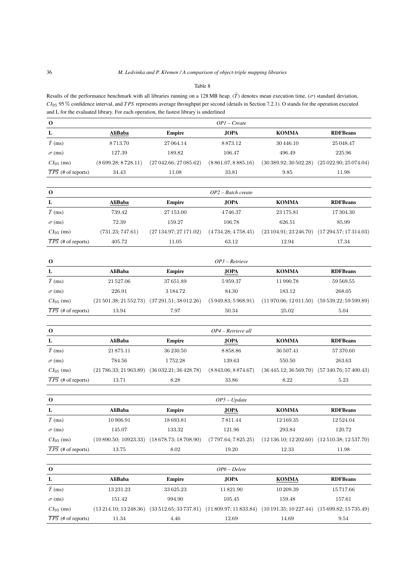<span id="page-35-0"></span>Results of the performance benchmark with all libraries running on a 128 MB heap.  $(\bar{T})$  denotes mean execution time,  $(\sigma)$  standard deviation, *CI*<sup>95</sup> 95 % confidence interval, and *T PS* represents average throughput per second (details in Section [7.2.1\)](#page-21-2). O stands for the operation executed and L for the evaluated library. For each operation, the fastest library is underlined

| $\mathbf{o}$                    |                                          |                                                | $OP1 - Create$       |                      |                      |
|---------------------------------|------------------------------------------|------------------------------------------------|----------------------|----------------------|----------------------|
| L                               | AliBaba                                  | <b>Empire</b>                                  | <b>JOPA</b>          | <b>KOMMA</b>         | <b>RDFBeans</b>      |
| $\bar{T}$ (ms)                  | 8713.70                                  | 27 064.14                                      | 8873.12              | 30446.10             | 25 048.47            |
| $\sigma$ (ms)                   | 127.39                                   | 189.82                                         | 106.47               | 496.49               | 225.96               |
| $Cl95$ (ms)                     | (8699.28; 8728.11)                       | (27042.66; 27085.62)                           | (8861.07, 8885.16)   | (30389.92; 30502.28) | (25022.90; 25074.04) |
| $\overline{TPS}$ (# of reports) | 34.43                                    | 11.08                                          | 33.81                | 9.85                 | 11.98                |
|                                 |                                          |                                                |                      |                      |                      |
| $\mathbf{o}$                    |                                          |                                                | $OP2 - Batch create$ |                      |                      |
| $\mathbf{r}$                    | $\triangle$ ED $\triangle$ L $\triangle$ | $\mathbf{F}$ and $\mathbf{F}$ and $\mathbf{F}$ | $T\bigcap B$         | <b>IZOMANA</b>       | DNDD                 |

| L                               | <b>AliBaba</b>   | Empire               | <b>JOPA</b>        | <b>KOMMA</b>                                          | <b>RDFBeans</b> |
|---------------------------------|------------------|----------------------|--------------------|-------------------------------------------------------|-----------------|
| $\bar{T}$ (ms)                  | 739.42           | 27 153.00            | 4 7 4 6 3 7        | 23 175.81                                             | 17 304.30       |
| $\sigma$ (ms)                   | 72.39            | 159.27               | 106.78             | 626.51                                                | 85.99           |
| $Cl95$ (ms)                     | (731.23; 747.61) | (27134.97; 27171.02) | (4734.28; 4758.45) | $(23\,104.91; 23\,246.70)$ $(17\,294.57; 17\,314.03)$ |                 |
| $\overline{TPS}$ (# of reports) | 405.72           | 11.05                | 63.12              | 12.94                                                 | 17.34           |

| $\mathbf{o}$                    | $OP3 - Retrieved$          |                            |                    |                      |                      |
|---------------------------------|----------------------------|----------------------------|--------------------|----------------------|----------------------|
| L                               | AliBaba                    | Empire                     | <b>JOPA</b>        | <b>KOMMA</b>         | <b>RDFBeans</b>      |
| $\bar{T}$ (ms)                  | 21527.06                   | 37651.89                   | 5959.37            | 11990.78             | 59 569.55            |
| $\sigma$ (ms)                   | 226.91                     | 3 1 8 4 . 7 2              | 84.30              | 183.12               | 268.05               |
| $Cl95$ (ms)                     | $(21\,501.38; 21\,552.73)$ | $(37\,291.51; 38\,012.26)$ | (5949.83; 5968.91) | (11970.06; 12011.50) | (59539.22; 59599.89) |
| $\overline{TPS}$ (# of reports) | 13.94                      | 7.97                       | 50.34              | 25.02                | 5.04                 |

| $\mathbf{o}$                    | OP4 – Retrieve all   |                      |                    |                            |                      |  |
|---------------------------------|----------------------|----------------------|--------------------|----------------------------|----------------------|--|
| L                               | AliBaba              | <b>Empire</b>        | <b>JOPA</b>        | <b>KOMMA</b>               | <b>RDFBeans</b>      |  |
| $\bar{T}$ (ms)                  | 21875.11             | 36 230.50            | 8858.86            | 36 507.41                  | 57370.60             |  |
| $\sigma$ (ms)                   | 784.56               | 1752.28              | 139.63             | 550.50                     | 263.63               |  |
| $Cl95$ (ms)                     | (21786.33; 21963.89) | (36032.21; 36428.78) | (8843.06; 8874.67) | $(36\,445.12; 36\,569.70)$ | (57340.76; 57400.43) |  |
| $\overline{TPS}$ (# of reports) | 13.71                | 8.28                 | 33.86              | 8.22                       | 5.23                 |  |

| $\mathbf{o}$                    | $OP5-Update$             |                      |                    |                                                       |                 |  |
|---------------------------------|--------------------------|----------------------|--------------------|-------------------------------------------------------|-----------------|--|
| L                               | <b>AliBaba</b>           | <b>Empire</b>        | <b>JOPA</b>        | <b>KOMMA</b>                                          | <b>RDFBeans</b> |  |
| $\bar{T}$ (ms)                  | 10906.91                 | 18693.81             | 7811.44            | 12 169.35                                             | 12524.04        |  |
| $\sigma$ (ms)                   | 145.07                   | 133.32               | 121.96             | 293.84                                                | 120.72          |  |
| $Cl95$ (ms)                     | $(10\,890.50; 10923.33)$ | (18678.73; 18708.90) | (7797.64; 7825.25) | $(12\,136.10; 12\,202.60)$ $(12\,510.38; 12\,537.70)$ |                 |  |
| $\overline{TPS}$ (# of reports) | 13.75                    | 8.02                 | 19.20              | 12.33                                                 | 11.98           |  |

| $\mathbf{o}$       |                            |           | OP6 – Delete                                                                     |              |                      |
|--------------------|----------------------------|-----------|----------------------------------------------------------------------------------|--------------|----------------------|
| L                  | <b>AliBaba</b>             | Empire    | <b>JOPA</b>                                                                      | <b>KOMMA</b> | <b>RDFBeans</b>      |
| $\bar{T}$ (ms)     | 13231.23                   | 33 625.23 | 11821.90                                                                         | 10 209.39    | 15 717.66            |
| $\sigma$ (ms)      | 151.42                     | 994.90    | 105.45                                                                           | 159.48       | 157.61               |
| $Cl95$ (ms)        | $(13\,214.10; 13\,248.36)$ |           | $(33\,512.65; 33\,737.81)$ $(11\,809.97; 11\,833.84)$ $(10\,191.35; 10\,227.44)$ |              | (15699.82; 15735.49) |
| TPS (# of reports) | 11.34                      | 4.46      | 12.69                                                                            | 14.69        | 9.54                 |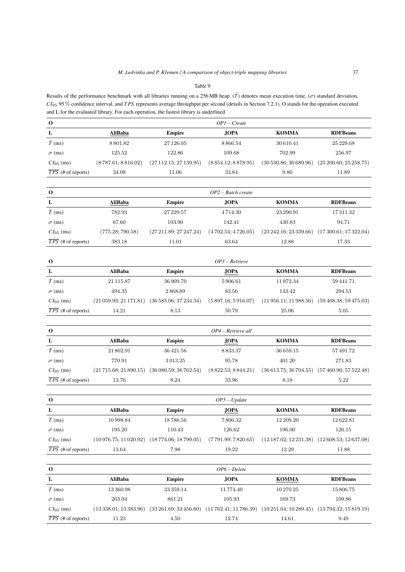<span id="page-36-0"></span>Results of the performance benchmark with all libraries running on a 256 MB heap.  $(\bar{T})$  denotes mean execution time,  $(\sigma)$  standard deviation, *CI*<sup>95</sup> 95 % confidence interval, and *T PS* represents average throughput per second (details in Section [7.2.1\)](#page-21-2). O stands for the operation executed and L for the evaluated library. For each operation, the fastest library is underlined

| $\mathbf{o}$                    |                    | $OP1 - Create$       |                    |                      |                            |  |  |
|---------------------------------|--------------------|----------------------|--------------------|----------------------|----------------------------|--|--|
| L                               | AliBaba            | Empire               | <b>JOPA</b>        | <b>KOMMA</b>         | <b>RDFBeans</b>            |  |  |
| $\bar{T}$ (ms)                  | 8801.82            | 27 1 26 05           | 8866.54            | 30610.41             | 25 229.68                  |  |  |
| $\sigma$ (ms)                   | 125.52             | 122.86               | 109.68             | 702.99               | 256.97                     |  |  |
| $Cl95$ (ms)                     | (8787.61; 8816.02) | (27112.15; 27139.95) | (8854.12; 8878.95) | (30530.86; 30689.96) | $(25\,200.60; 25\,258.75)$ |  |  |
| $\overline{TPS}$ (# of reports) | 34.08              | 11.06                | 33.84              | 9.80                 | 11.89                      |  |  |
|                                 |                    |                      |                    |                      |                            |  |  |

| $\mathbf{o}$         |                  |                            | $OP2 - Batch create$ |              |                                                       |
|----------------------|------------------|----------------------------|----------------------|--------------|-------------------------------------------------------|
| L                    | AliBaba          | Empire                     | <b>JOPA</b>          | <b>KOMMA</b> | <b>RDFBeans</b>                                       |
| $\bar{T}$ (ms)       | 782.93           | 27 229.57                  | 4 7 1 4 3 0          | 23 290.91    | 17311.32                                              |
| $\sigma$ (ms)        | 67.60            | 103.90                     | 142.41               | 430.83       | 94.71                                                 |
| $Cl95$ (ms)          | (775.28; 790.58) | $(27\,211.89; 27\,247.24)$ | (4702.54; 4726.05)   |              | $(23\,242.16; 23\,339.66)$ $(17\,300.61; 17\,322.04)$ |
| $TPS$ (# of reports) | 383.18           | 11.01                      | 63.64                | 12.88        | 17.33                                                 |

| $\mathbf{o}$                    | $OP3 - Retrieved$          |                      |                    |                      |                            |
|---------------------------------|----------------------------|----------------------|--------------------|----------------------|----------------------------|
| L                               | <b>AliBaba</b>             | Empire               | <b>JOPA</b>        | <b>KOMMA</b>         | <b>RDFBeans</b>            |
| $\bar{T}$ (ms)                  | 21 115.87                  | 36 909.70            | 5906.61            | 11972.34             | 59441.71                   |
| $\sigma$ (ms)                   | 494.35                     | 2868.89              | 83.56              | 143.42               | 294.53                     |
| $Cl95$ (ms)                     | $(21\,059.93; 21\,171.81)$ | (36585.06; 37234.34) | (5897.16; 5916.07) | (11956.11; 11988.56) | $(59\,408.38; 59\,475.03)$ |
| $\overline{TPS}$ (# of reports) | 14.21                      | 8.13                 | 50.79              | 25.06                | 5.05                       |

| $\mathbf{o}$                    | OP4 – Retrieve all         |                      |                    |              |                                               |  |  |
|---------------------------------|----------------------------|----------------------|--------------------|--------------|-----------------------------------------------|--|--|
| L                               | AliBaba                    | <b>Empire</b>        | JOPA               | <b>KOMMA</b> | <b>RDFBeans</b>                               |  |  |
| $\bar{T}$ (ms)                  | 21802.91                   | 36 421.56            | 8833.37            | 36 659.15    | 57491.72                                      |  |  |
| $\sigma$ (ms)                   | 770.91                     | 3013.25              | 95.78              | 401.20       | 271.83                                        |  |  |
| $Cl95$ (ms)                     | $(21\,715.68; 21\,890.15)$ | (36080.59; 36762.54) | (8822.53; 8844.21) |              | $(36613.75; 36704.55)$ $(57460.96; 57522.48)$ |  |  |
| $\overline{TPS}$ (# of reports) | 13.76                      | 8.24                 | 33.96              | 8.18         | 5.22                                          |  |  |

| $\mathbf{o}$                    | $OP5-Update$               |                      |                    |                            |                      |  |
|---------------------------------|----------------------------|----------------------|--------------------|----------------------------|----------------------|--|
| L                               | AliBaba                    | <b>Empire</b>        | <b>JOPA</b>        | <b>KOMMA</b>               | <b>RDFBeans</b>      |  |
| $\bar{T}$ (ms)                  | 10998.84                   | 18786.56             | 7806.32            | 12 209.20                  | 12622.81             |  |
| $\sigma$ (ms)                   | 195.20                     | 110.43               | 126.62             | 196.00                     | 126.15               |  |
| $Cl95$ (ms)                     | $(10\,976.75; 11\,020.92)$ | (18774.06; 18799.05) | (7791.99; 7820.65) | $(12\,187.02; 12\,231.38)$ | (12608.53; 12637.08) |  |
| $\overline{TPS}$ (# of reports) | 13.64                      | 7.98                 | 19.22              | 12.29                      | 11.88                |  |

| $\mathbf{o}$       |                            |           | $OP6 - Delete$                                                                                              |              |                 |
|--------------------|----------------------------|-----------|-------------------------------------------------------------------------------------------------------------|--------------|-----------------|
| L                  | <b>AliBaba</b>             | Empire    | <b>JOPA</b>                                                                                                 | <b>KOMMA</b> | <b>RDFBeans</b> |
| $\bar{T}$ (ms)     | 13 360.98                  | 33 359.14 | 11774.40                                                                                                    | 10 270.25    | 15806.75        |
| $\sigma$ (ms)      | 203.04                     | 861.21    | 105.93                                                                                                      | 169.73       | 109.86          |
| $Cl95$ (ms)        | $(13\,338.01; 13\,383.96)$ |           | $(33\,261.69, 33\,456.60)$ $(11\,762.41, 11\,786.39)$ $(10\,251.04, 10\,289.45)$ $(15\,794.32, 15\,819.19)$ |              |                 |
| TPS (# of reports) | 11.23                      | 4.50      | 12.74                                                                                                       | 14.61        | 9.49            |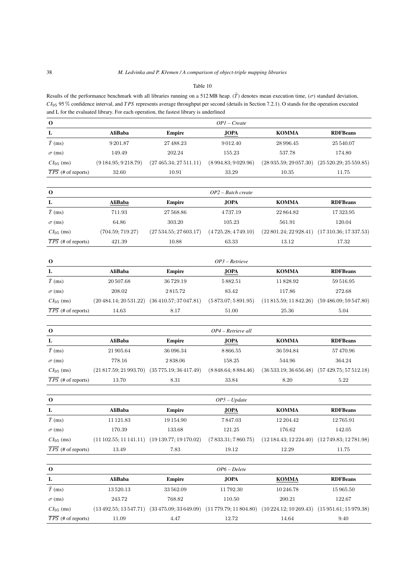<span id="page-37-0"></span>Results of the performance benchmark with all libraries running on a 512 MB heap.  $(\bar{T})$  denotes mean execution time,  $(\sigma)$  standard deviation, *CI*<sup>95</sup> 95 % confidence interval, and *T PS* represents average throughput per second (details in Section [7.2.1\)](#page-21-2). O stands for the operation executed and L for the evaluated library. For each operation, the fastest library is underlined

| $\mathbf{o}$         | $OP1 - Create$     |                      |                    |                      |                            |  |
|----------------------|--------------------|----------------------|--------------------|----------------------|----------------------------|--|
| L                    | AliBaba            | Empire               | <b>JOPA</b>        | <b>KOMMA</b>         | <b>RDFBeans</b>            |  |
| $\bar{T}$ (ms)       | 9 201.87           | 27 488.23            | 9012.40            | 28 996.45            | 25 540.07                  |  |
| $\sigma$ (ms)        | 149.49             | 202.24               | 155.23             | 537.78               | 174.80                     |  |
| $Cl_{95}$ (ms)       | (9184.95; 9218.79) | (27465.34; 27511.11) | (8994.83; 9029.96) | (28935.59; 29057.30) | $(25\,520.29; 25\,559.85)$ |  |
| $TPS$ (# of reports) | 32.60              | 10.91                | 33.29              | 10.35                | 11.75                      |  |
|                      |                    |                      |                    |                      |                            |  |

| $\mathbf{o}$                    |                  |                      | $OP2 - Batch create$ |              |                                               |
|---------------------------------|------------------|----------------------|----------------------|--------------|-----------------------------------------------|
| L                               | AliBaba          | Empire               | <b>JOPA</b>          | <b>KOMMA</b> | <b>RDFBeans</b>                               |
| $\bar{T}$ (ms)                  | 711.93           | 27 568.86            | 4737.19              | 22864.82     | 17323.95                                      |
| $\sigma$ (ms)                   | 64.86            | 303.20               | 105.23               | 561.91       | 120.04                                        |
| $Cl95$ (ms)                     | (704.59; 719.27) | (27534.55; 27603.17) | (4725.28; 4749.10)   |              | $(22801.24; 22928.41)$ $(17310.36; 17337.53)$ |
| $\overline{TPS}$ (# of reports) | 421.39           | 10.88                | 63.33                | 13.12        | 17.32                                         |

| $\mathbf{o}$                    | $OP3 - Retrieved$    |                            |                    |                      |                            |
|---------------------------------|----------------------|----------------------------|--------------------|----------------------|----------------------------|
| L                               | <b>AliBaba</b>       | Empire                     | <b>JOPA</b>        | <b>KOMMA</b>         | <b>RDFBeans</b>            |
| $\bar{T}$ (ms)                  | 20 50 7.68           | 36 729.19                  | 5882.51            | 11828.92             | 59516.95                   |
| $\sigma$ (ms)                   | 208.02               | 2815.72                    | 83.42              | 117.86               | 272.68                     |
| $Cl95$ (ms)                     | (20484.14; 20531.22) | $(36\,410.57; 37\,047.81)$ | (5873.07; 5891.95) | (11815.59; 11842.26) | $(59\,486.09; 59\,547.80)$ |
| $\overline{TPS}$ (# of reports) | 14.63                | 8.17                       | 51.00              | 25.36                | 5.04                       |

| $\mathbf{o}$                    | OP4 – Retrieve all   |                      |                    |                      |                      |  |
|---------------------------------|----------------------|----------------------|--------------------|----------------------|----------------------|--|
| L                               | AliBaba              | <b>Empire</b>        | <b>JOPA</b>        | <b>KOMMA</b>         | <b>RDFBeans</b>      |  |
| $\bar{T}$ (ms)                  | 21905.64             | 36 096.34            | 8866.55            | 36 594.84            | 57470.96             |  |
| $\sigma$ (ms)                   | 778.16               | 2838.06              | 158.25             | 544.96               | 364.24               |  |
| $Cl_{95}$ (ms)                  | (21817.59; 21993.70) | (35775.19; 36417.49) | (8848.64; 8884.46) | (36533.19; 36656.48) | (57429.75; 57512.18) |  |
| $\overline{TPS}$ (# of reports) | 13.70                | 8.31                 | 33.84              | 8.20                 | 5.22                 |  |

| $\mathbf{o}$                    | $OP5-Update$ |                                                       |                    |                                                       |                 |  |
|---------------------------------|--------------|-------------------------------------------------------|--------------------|-------------------------------------------------------|-----------------|--|
| L                               | AliBaba      | <b>Empire</b>                                         | <b>JOPA</b>        | <b>KOMMA</b>                                          | <b>RDFBeans</b> |  |
| $\bar{T}$ (ms)                  | 11 12 1.83   | 19 154.90                                             | 7847.03            | 12 204.42                                             | 12765.91        |  |
| $\sigma$ (ms)                   | 170.39       | 133.68                                                | 121.25             | 176.62                                                | 142.05          |  |
| $Cl95$ (ms)                     |              | $(11\,102.55; 11\,141.11)$ $(19\,139.77; 19\,170.02)$ | (7833.31; 7860.75) | $(12\,184.43; 12\,224.40)$ $(12\,749.83; 12\,781.98)$ |                 |  |
| $\overline{TPS}$ (# of reports) | 13.49        | 7.83                                                  | 19.12              | 12.29                                                 | 11.75           |  |

| $\mathbf{o}$       |                |                                                                                                                                        | $OP6 - Delete$ |              |                 |
|--------------------|----------------|----------------------------------------------------------------------------------------------------------------------------------------|----------------|--------------|-----------------|
| L                  | <b>AliBaba</b> | Empire                                                                                                                                 | <b>JOPA</b>    | <b>KOMMA</b> | <b>RDFBeans</b> |
| $\bar{T}$ (ms)     | 13520.13       | 33 562.09                                                                                                                              | 11792.30       | 10 246.78    | 15965.50        |
| $\sigma$ (ms)      | 243.72         | 768.82                                                                                                                                 | 110.50         | 200.21       | 122.67          |
| $Cl95$ (ms)        |                | $(13\,492.55; 13\,547.71)$ $(33\,475.09; 33\,649.09)$ $(11\,779.79; 11\,804.80)$ $(10\,224.12; 10\,269.43)$ $(15\,951.61; 15\,979.38)$ |                |              |                 |
| TPS (# of reports) | 11.09          | 4.47                                                                                                                                   | 12.72          | 14.64        | 9.40            |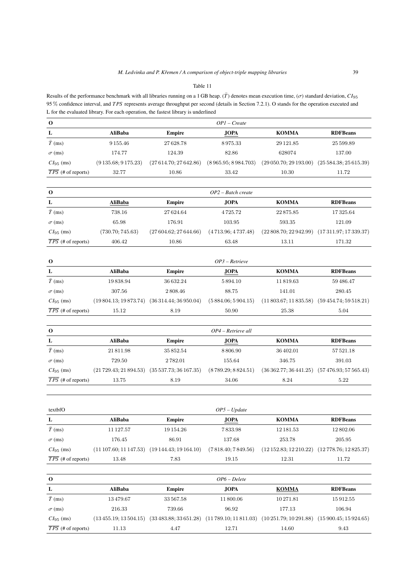<span id="page-38-0"></span>Results of the performance benchmark with all libraries running on a 1 GB heap. ( $\bar{T}$ ) denotes mean execution time, ( $\sigma$ ) standard deviation,  $CI_{95}$ 95 % confidence interval, and *T PS* represents average throughput per second (details in Section [7.2.1\)](#page-21-2). O stands for the operation executed and L for the evaluated library. For each operation, the fastest library is underlined

| $\mathbf{o}$       | $OP1 - Create$     |                      |                     |                      |                      |  |  |
|--------------------|--------------------|----------------------|---------------------|----------------------|----------------------|--|--|
| L                  | AliBaba            | <b>Empire</b>        | <b>JOPA</b>         | <b>KOMMA</b>         | <b>RDFBeans</b>      |  |  |
| $T$ (ms)           | 9 1 5 5 4 6        | 27628.78             | 8975.33             | 29 12 1.85           | 25 599.89            |  |  |
| $\sigma$ (ms)      | 174.77             | 124.39               | 82.86               | 628074               | 137.00               |  |  |
| $Cl_{95}$ (ms)     | (9135.68; 9175.23) | (27614.70; 27642.86) | (8965.95; 8984.703) | (29050.70; 29193.00) | (25584.38; 25615.39) |  |  |
| TPS (# of reports) | 32.77              | 10.86                | 33.42               | 10.30                | 11.72                |  |  |
|                    |                    |                      |                     |                      |                      |  |  |

| $\mathbf{o}$         | $OP2 - Batch create$ |                      |                    |              |                                               |
|----------------------|----------------------|----------------------|--------------------|--------------|-----------------------------------------------|
| L                    | AliBaba              | Empire               | <b>JOPA</b>        | <b>KOMMA</b> | <b>RDFBeans</b>                               |
| $\bar{T}$ (ms)       | 738.16               | 27 624.64            | 4725.72            | 22875.85     | 17325.64                                      |
| $\sigma$ (ms)        | 65.98                | 176.91               | 103.95             | 593.35       | 121.09                                        |
| $Cl_{95}$ (ms)       | (730.70; 745.63)     | (27604.62; 27644.66) | (4713.96; 4737.48) |              | $(22808.70; 22942.99)$ $(17311.97; 17339.37)$ |
| $TPS$ (# of reports) | 406.42               | 10.86                | 63.48              | 13.11        | 171.32                                        |

| $\mathbf{o}$                    | $OP3 - Retrieved$    |                      |                    |                      |                            |
|---------------------------------|----------------------|----------------------|--------------------|----------------------|----------------------------|
| L                               | AliBaba              | Empire               | <b>JOPA</b>        | <b>KOMMA</b>         | <b>RDFBeans</b>            |
| $\bar{T}$ (ms)                  | 19838.94             | 36 632.24            | 5894.10            | 11819.63             | 59486.47                   |
| $\sigma$ (ms)                   | 307.56               | 2 808.46             | 88.75              | 141.01               | 280.45                     |
| $Cl95$ (ms)                     | (19804.13; 19873.74) | (36314.44; 36950.04) | (5884.06; 5904.15) | (11803.67; 11835.58) | $(59\,454.74; 59\,518.21)$ |
| $\overline{TPS}$ (# of reports) | 15.12                | 8.19                 | 50.90              | 25.38                | 5.04                       |

| $\mathbf{o}$                    | OP4 – Retrieve all   |                            |                    |                            |                      |  |
|---------------------------------|----------------------|----------------------------|--------------------|----------------------------|----------------------|--|
| L                               | AliBaba              | <b>Empire</b>              | <b>JOPA</b>        | <b>KOMMA</b>               | <b>RDFBeans</b>      |  |
| $\bar{T}$ (ms)                  | 21811.98             | 35 852.54                  | 8806.90            | 36 402.01                  | 57521.18             |  |
| $\sigma$ (ms)                   | 729.50               | 2782.01                    | 155.64             | 346.75                     | 391.03               |  |
| $Cl95$ (ms)                     | (21729.43; 21894.53) | $(35\,537.73; 36\,167.35)$ | (8789.29; 8824.51) | $(36\,362.77; 36\,441.25)$ | (57476.93; 57565.43) |  |
| $\overline{TPS}$ (# of reports) | 13.75                | 8.19                       | 34.06              | 8.24                       | 5.22                 |  |

| textbfO                         | $OP5-Update$   |                                                       |                    |              |                                                       |  |  |
|---------------------------------|----------------|-------------------------------------------------------|--------------------|--------------|-------------------------------------------------------|--|--|
| L                               | <b>AliBaba</b> | Empire                                                | <b>JOPA</b>        | <b>KOMMA</b> | <b>RDFBeans</b>                                       |  |  |
| $\bar{T}$ (ms)                  | 11 127.57      | 19 154.26                                             | 7833.98            | 12 18 1.53   | 12802.06                                              |  |  |
| $\sigma$ (ms)                   | 176.45         | 86.91                                                 | 137.68             | 253.78       | 205.95                                                |  |  |
| $Cl95$ (ms)                     |                | $(11\,107.60; 11\,147.53)$ $(19\,144.43; 19\,164.10)$ | (7818.40; 7849.56) |              | $(12\,152.83; 12\,210.22)$ $(12\,778.76; 12\,825.37)$ |  |  |
| $\overline{TPS}$ (# of reports) | 13.48          | 7.83                                                  | 19.15              | 12.31        | 11.72                                                 |  |  |
|                                 |                |                                                       |                    |              |                                                       |  |  |
| $\mathbf 0$                     | $OP6 - Delete$ |                                                       |                    |              |                                                       |  |  |

| $\mathbf{v}$         | $U_1 U - D \ell \ell \ell \ell$ |           |                                                                                                             |           |                 |  |  |
|----------------------|---------------------------------|-----------|-------------------------------------------------------------------------------------------------------------|-----------|-----------------|--|--|
| L                    | <b>AliBaba</b>                  | Empire    | <b>JOPA</b>                                                                                                 | KOMMA     | <b>RDFBeans</b> |  |  |
| $\bar{T}$ (ms)       | 13479.67                        | 33 567.58 | 11800.06                                                                                                    | 10 271.81 | 15912.55        |  |  |
| $\sigma$ (ms)        | 216.33                          | 739.66    | 96.92                                                                                                       | 177.13    | 106.94          |  |  |
| $Cl_{95}$ (ms)       | $(13\,455.19; 13\,504.15)$      |           | $(33\,483.88; 33\,651.28)$ $(11\,789.10; 11\,811.03)$ $(10\,251.79; 10\,291.88)$ $(15\,900.45; 15\,924.65)$ |           |                 |  |  |
| $TPS$ (# of reports) | 11.13                           | 4.47      | 12.71                                                                                                       | 14.60     | 9.43            |  |  |
|                      |                                 |           |                                                                                                             |           |                 |  |  |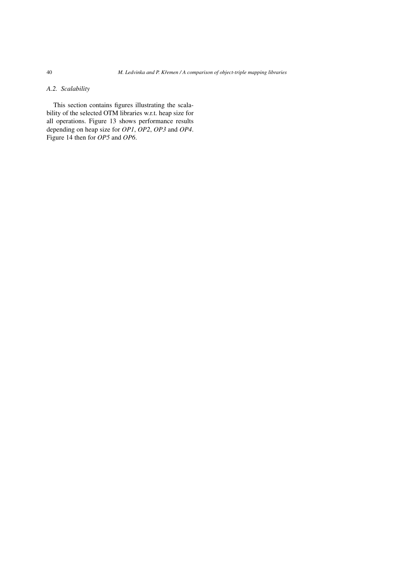# <span id="page-39-0"></span>*A.2. Scalability*

This section contains figures illustrating the scalability of the selected OTM libraries w.r.t. heap size for all operations. Figure [13](#page-40-0) shows performance results depending on heap size for *OP1*, *OP2*, *OP3* and *OP4*. Figure [14](#page-41-0) then for *OP5* and *OP6*.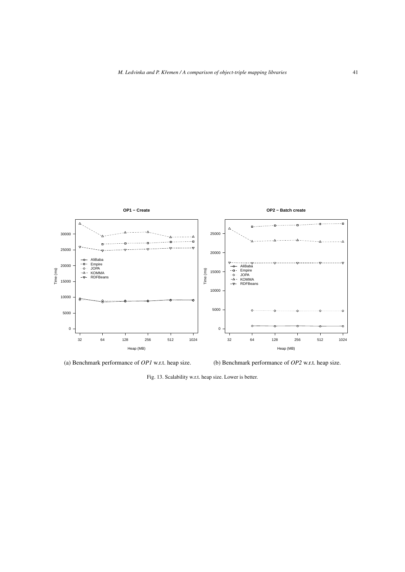<span id="page-40-0"></span>

(a) Benchmark performance of *OP1* w.r.t. heap size.

(b) Benchmark performance of *OP2* w.r.t. heap size.

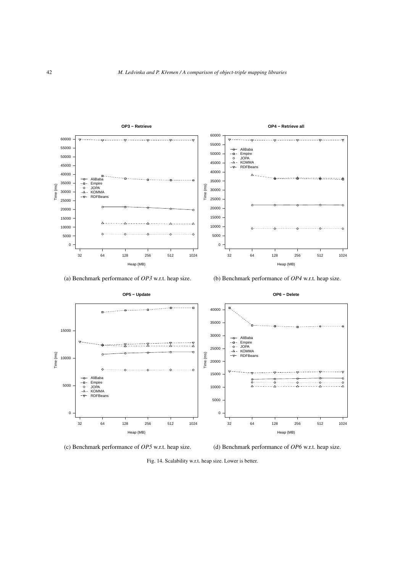<span id="page-41-0"></span>

(a) Benchmark performance of *OP3* w.r.t. heap size.

(b) Benchmark performance of *OP4* w.r.t. heap size.



(c) Benchmark performance of *OP5* w.r.t. heap size.

(d) Benchmark performance of *OP6* w.r.t. heap size.

Fig. 14. Scalability w.r.t. heap size. Lower is better.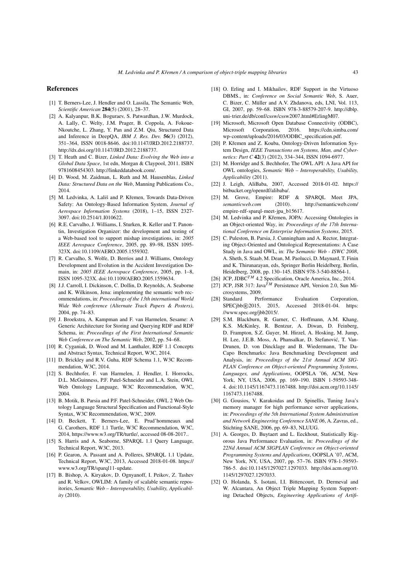#### References

- <span id="page-42-0"></span>[1] T. Berners-Lee, J. Hendler and O. Lassila, The Semantic Web, *Scientific American* 284(5) (2001), 28–37.
- <span id="page-42-1"></span>[2] A. Kalyanpur, B.K. Boguraev, S. Patwardhan, J.W. Murdock, A. Lally, C. Welty, J.M. Prager, B. Coppola, A. Fokoue-Nkoutche, L. Zhang, Y. Pan and Z.M. Qiu, Structured Data and Inference in DeepQA, *IBM J. Res. Dev.* 56(3) (2012), 351–364, ISSN 0018-8646. doi:10.1147/JRD.2012.2188737. [http://dx.doi.org/10.1147/JRD.2012.2188737.](http://dx.doi.org/10.1147/JRD.2012.2188737)
- <span id="page-42-2"></span>[3] T. Heath and C. Bizer, *Linked Data: Evolving the Web into a Global Data Space*, 1st edn, Morgan & Claypool, 2011. ISBN 9781608454303. [http://linkeddatabook.com/.](http://linkeddatabook.com/)
- <span id="page-42-3"></span>[4] D. Wood, M. Zaidman, L. Ruth and M. Hausenblas, *Linked Data: Structured Data on the Web*, Manning Publications Co., 2014.
- <span id="page-42-4"></span>[5] M. Ledvinka, A. Lališ and P. Křemen, Towards Data-Driven Safety: An Ontology-Based Information System, *Journal of Aerospace Information Systems* (2018), 1–15, ISSN 2327- 3097. doi:10.2514/1.I010622.
- <span id="page-42-5"></span>[6] R.E. Carvalho, J. Williams, I. Sturken, R. Keller and T. Panontin, Investigation Organizer: the development and testing of a Web-based tool to support mishap investigations, in: *2005 IEEE Aerospace Conference*, 2005, pp. 89–98, ISSN 1095- 323X. doi:10.1109/AERO.2005.1559302.
- <span id="page-42-6"></span>[7] R. Carvalho, S. Wolfe, D. Berrios and J. Williams, Ontology Development and Evolution in the Accident Investigation Domain, in: *2005 IEEE Aerospace Conference*, 2005, pp. 1–8, ISSN 1095-323X. doi:10.1109/AERO.2005.1559634.
- <span id="page-42-7"></span>[8] J.J. Carroll, I. Dickinson, C. Dollin, D. Reynolds, A. Seaborne and K. Wilkinson, Jena: implementing the semantic web recommendations, in: *Proceedings of the 13th international World Wide Web conference (Alternate Track Papers & Posters)*, 2004, pp. 74–83.
- <span id="page-42-8"></span>[9] J. Broekstra, A. Kampman and F. van Harmelen, Sesame: A Generic Architecture for Storing and Querying RDF and RDF Schema, in: *Proceedings of the First International Semantic Web Conference on The Semantic Web*, 2002, pp. 54–68.
- <span id="page-42-9"></span>[10] R. Cyganiak, D. Wood and M. Lanthaler, RDF 1.1 Concepts and Abstract Syntax, Technical Report, W3C, 2014.
- <span id="page-42-10"></span>[11] D. Brickley and R.V. Guha, RDF Schema 1.1, W3C Recommendation, W3C, 2014.
- <span id="page-42-11"></span>[12] S. Bechhofer, F. van Harmelen, J. Hendler, I. Horrocks, D.L. McGuinness, P.F. Patel-Schneider and L.A. Stein, OWL Web Ontology Language, W3C Recommendation, W3C, 2004.
- <span id="page-42-12"></span>[13] B. Motik, B. Parsia and P.F. Patel-Schneider, OWL 2 Web Ontology Language Structural Specification and Functional-Style Syntax, W3C Recommendation, W3C, 2009.
- <span id="page-42-13"></span>[14] D. Beckett, T. Berners-Lee, E. Prud'hommeaux and G. Carothers, RDF 1.1 Turtle, W3C Recommendation, W3C, 2014, [https://www.w3.org/TR/turtle/,](https://www.w3.org/TR/turtle/) accessed 08-08-2017..
- <span id="page-42-14"></span>[15] S. Harris and A. Seaborne, SPARQL 1.1 Query Language, Technical Report, W3C, 2013.
- <span id="page-42-15"></span>[16] P. Gearon, A. Passant and A. Polleres, SPARQL 1.1 Update, Technical Report, W3C, 2013, Accessed 2018-01-08. [https://](https://www.w3.org/TR/sparql11-update) [www.w3.org/TR/sparql11-update.](https://www.w3.org/TR/sparql11-update)
- <span id="page-42-16"></span>[17] B. Bishop, A. Kiryakov, D. Ognyanoff, I. Peikov, Z. Tashev and R. Velkov, OWLIM: A family of scalable semantic repositories, *Semantic Web – Interoperability, Usability, Applicability* (2010).
- <span id="page-42-17"></span>[18] O. Erling and I. Mikhailov, RDF Support in the Virtuoso DBMS., in: *Conference on Social Semantic Web*, S. Auer, C. Bizer, C. Müller and A.V. Zhdanova, eds, LNI, Vol. 113, GI, 2007, pp. 59–68. ISBN 978-3-88579-207-9. [http://dblp.](http://dblp.uni-trier.de/db/conf/cssw/cssw2007.html#ErlingM07) [uni-trier.de/db/conf/cssw/cssw2007.html#ErlingM07.](http://dblp.uni-trier.de/db/conf/cssw/cssw2007.html#ErlingM07)
- <span id="page-42-18"></span>[19] Microsoft, Microsoft Open Database Connectivity (ODBC), Microsoft Corporation, 2016. [https://cdn.simba.com/](https://cdn.simba.com/wp-content/uploads/2016/03/ODBC_specification.pdf) [wp-content/uploads/2016/03/ODBC\\_specification.pdf.](https://cdn.simba.com/wp-content/uploads/2016/03/ODBC_specification.pdf)
- <span id="page-42-19"></span>[20] P. Křemen and Z. Kouba, Ontology-Driven Information System Design, *IEEE Transactions on Systems, Man, and Cybernetics: Part C* 42(3) (2012), 334–344, ISSN 1094-6977.
- <span id="page-42-20"></span>[21] M. Horridge and S. Bechhofer, The OWL API: A Java API for OWL ontologies, *Semantic Web – Interoperability, Usability, Applicability* (2011).
- <span id="page-42-21"></span>[22] J. Leigh, AliBaba, 2007, Accessed 2018-01-02. [https://](https://bitbucket.org/openrdf/alibaba/) [bitbucket.org/openrdf/alibaba/.](https://bitbucket.org/openrdf/alibaba/)
- <span id="page-42-22"></span>[23] M. Grove, Empire: RDF & SPARQL Meet JPA, *semanticweb.com* (2010). [http://semanticweb.com/](http://semanticweb.com/empire-rdf-sparql-meet-jpa_b15617) [empire-rdf-sparql-meet-jpa\\_b15617.](http://semanticweb.com/empire-rdf-sparql-meet-jpa_b15617)
- <span id="page-42-23"></span>[24] M. Ledvinka and P. Křemen, JOPA: Accessing Ontologies in an Object-oriented Way, in: *Proceedings of the 17th International Conference on Enterprise Information Systems*, 2015.
- <span id="page-42-24"></span>[25] C. Puleston, B. Parsia, J. Cunningham and A. Rector, Integrating Object-Oriented and Ontological Representations: A Case Study in Java and OWL, in: *The Semantic Web - ISWC 2008*, A. Sheth, S. Staab, M. Dean, M. Paolucci, D. Maynard, T. Finin and K. Thirunarayan, eds, Springer Berlin Heidelberg, Berlin, Heidelberg, 2008, pp. 130–145. ISBN 978-3-540-88564-1.
- <span id="page-42-25"></span>[26] JCP, JDBC<sup>TM</sup> 4.2 Specification, Oracle America, Inc., 2014.
- <span id="page-42-26"></span>[27] JCP, JSR 317: Java<sup>TM</sup> Persistence API, Version 2.0, Sun Microsystems, 2009.
- <span id="page-42-27"></span>[28] Standard Performance Evaluation Corporation, SPECjbb(R)2015, 2015, Accessed 2018-01-04. [https:](https://www.spec.org/jbb2015/) [//www.spec.org/jbb2015/.](https://www.spec.org/jbb2015/)
- <span id="page-42-28"></span>[29] S.M. Blackburn, R. Garner, C. Hoffmann, A.M. Khang, K.S. McKinley, R. Bentzur, A. Diwan, D. Feinberg, D. Frampton, S.Z. Guyer, M. Hirzel, A. Hosking, M. Jump, H. Lee, J.E.B. Moss, A. Phansalkar, D. Stefanovic, T. Van- ´ Drunen, D. von Dincklage and B. Wiedermann, The Da-Capo Benchmarks: Java Benchmarking Development and Analysis, in: *Proceedings of the 21st Annual ACM SIG-PLAN Conference on Object-oriented Programming Systems, Languages, and Applications*, OOPSLA '06, ACM, New York, NY, USA, 2006, pp. 169–190. ISBN 1-59593-348- 4. doi:10.1145/1167473.1167488. [http://doi.acm.org/10.1145/](http://doi.acm.org/10.1145/1167473.1167488) [1167473.1167488.](http://doi.acm.org/10.1145/1167473.1167488)
- <span id="page-42-29"></span>[30] G. Gousios, V. Karakoidas and D. Spinellis, Tuning Java's memory manager for high performance server applications, in: *Proceedings of the 5th International System Administration and Network Engineering Conference SANE 06*, A. Zavras, ed., Stichting SANE, 2006, pp. 69–83, NLUUG.
- <span id="page-42-30"></span>[31] A. Georges, D. Buytaert and L. Eeckhout, Statistically Rigorous Java Performance Evaluation, in: *Proceedings of the 22Nd Annual ACM SIGPLAN Conference on Object-oriented Programming Systems and Applications*, OOPSLA '07, ACM, New York, NY, USA, 2007, pp. 57–76. ISBN 978-1-59593- 786-5. doi:10.1145/1297027.1297033. [http://doi.acm.org/10.](http://doi.acm.org/10.1145/1297027.1297033) [1145/1297027.1297033.](http://doi.acm.org/10.1145/1297027.1297033)
- <span id="page-42-31"></span>[32] O. Holanda, S. Isotani, I.I. Bittencourt, D. Dermeval and W. Alcantara, An Object Triple Mapping System Supporting Detached Objects, *Engineering Applications of Artifi-*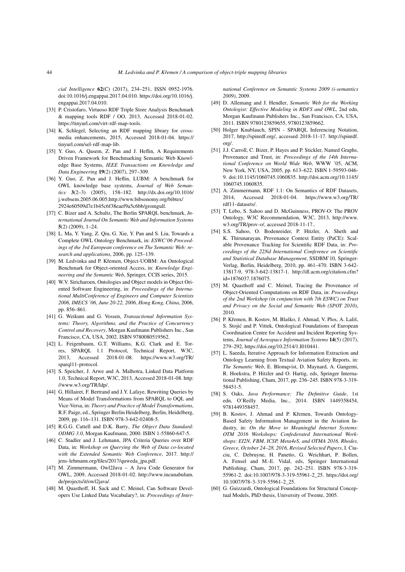*cial Intelligence* 62(C) (2017), 234–251, ISSN 0952-1976. doi:10.1016/j.engappai.2017.04.010. [https://doi.org/10.1016/j.](https://doi.org/10.1016/j.engappai.2017.04.010) [engappai.2017.04.010.](https://doi.org/10.1016/j.engappai.2017.04.010)

- <span id="page-43-0"></span>[33] P. Cristofaro, Virtuoso RDF Triple Store Analysis Benchmark & mapping tools RDF / OO, 2013, Accessed 2018-01-02. [https://tinyurl.com/virt-rdf-map-tools.](https://tinyurl.com/virt-rdf-map-tools)
- <span id="page-43-1"></span>[34] K. Schlegel, Selecting an RDF mapping library for crossmedia enhancements, 2015, Accessed 2018-01-04. [https://](https://tinyurl.com/sel-rdf-map-lib) [tinyurl.com/sel-rdf-map-lib.](https://tinyurl.com/sel-rdf-map-lib)
- <span id="page-43-2"></span>[35] Y. Guo, A. Qasem, Z. Pan and J. Heflin, A Requirements Driven Framework for Benchmarking Semantic Web Knowledge Base Systems, *IEEE Transactions on Knowledge and Data Engineering* 19(2) (2007), 297–309.
- <span id="page-43-3"></span>[36] Y. Guo, Z. Pan and J. Heflin, LUBM: A benchmark for OWL knowledge base systems, *Journal of Web Semantics* 3(2–3) (2005), 158–182. [http://dx.doi.org/10.1016/](http://dx.doi.org/10.1016/j.websem.2005.06.005; http://www.bibsonomy.org/bibtex/2924e60509d7e1b45c6f38eaef9a5c6bb/gromgull) [j.websem.2005.06.005;http://www.bibsonomy.org/bibtex/](http://dx.doi.org/10.1016/j.websem.2005.06.005; http://www.bibsonomy.org/bibtex/2924e60509d7e1b45c6f38eaef9a5c6bb/gromgull) [2924e60509d7e1b45c6f38eaef9a5c6bb/gromgull.](http://dx.doi.org/10.1016/j.websem.2005.06.005; http://www.bibsonomy.org/bibtex/2924e60509d7e1b45c6f38eaef9a5c6bb/gromgull)
- <span id="page-43-4"></span>[37] C. Bizer and A. Schultz, The Berlin SPAROL benchmark, *International Journal On Semantic Web and Information Systems* 5(2) (2009), 1–24.
- <span id="page-43-5"></span>[38] L. Ma, Y. Yang, Z. Qiu, G. Xie, Y. Pan and S. Liu, Towards a Complete OWL Ontology Benchmark, in: *ESWC'06 Proceedings of the 3rd European conference on The Semantic Web: research and applications*, 2006, pp. 125–139.
- <span id="page-43-6"></span>[39] M. Ledvinka and P. Křemen, Object-UOBM: An Ontological Benchmark for Object-oriented Access, in: *Knowledge Engineering and the Semantic Web*, Springer, CCIS series, 2015.
- <span id="page-43-7"></span>[40] W.V. Siricharoen, Ontologies and Object models in Object Oriented Software Engineering, in: *Proceedings of the International MultiConference of Engineers and Computer Scientists 2006, IMECS '06, June 20-22, 2006, Hong Kong, China*, 2006, pp. 856–861.
- <span id="page-43-8"></span>[41] G. Weikum and G. Vossen, *Transactional Information Systems: Theory, Algorithms, and the Practice of Concurrency Control and Recovery*, Morgan Kaufmann Publishers Inc., San Francisco, CA, USA, 2002. ISBN 9780080519562.
- <span id="page-43-9"></span>[42] L. Feigenbaum, G.T. Williams, K.G. Clark and E. Torres, SPARQL 1.1 Protocol, Technical Report, W3C, 2013, Accessed 2018-01-08. [https://www.w3.org/TR/](https://www.w3.org/TR/sparql11-protocol) [sparql11-protocol.](https://www.w3.org/TR/sparql11-protocol)
- <span id="page-43-10"></span>[43] S. Speicher, J. Arwe and A. Malhotra, Linked Data Platform 1.0, Technical Report, W3C, 2013, Accessed 2018-01-08. [http:](http://www.w3.org/TR/ldp/) [//www.w3.org/TR/ldp/.](http://www.w3.org/TR/ldp/)
- <span id="page-43-11"></span>[44] G. Hillairet, F. Bertrand and J.Y. Lafaye, Rewriting Queries by Means of Model Transformations from SPARQL to OQL and Vice-Versa, in: *Theory and Practice of Model Transformations*, R.F. Paige, ed., Springer Berlin Heidelberg, Berlin, Heidelberg, 2009, pp. 116–131. ISBN 978-3-642-02408-5.
- <span id="page-43-12"></span>[45] R.G.G. Cattell and D.K. Barry, *The Object Data Standard: ODMG 3.0*, Morgan Kaufmann, 2000. ISBN 1-55860-647-5.
- <span id="page-43-13"></span>[46] C. Stadler and J. Lehmann, JPA Criteria Queries over RDF Data, in: *Workshop on Querying the Web of Data co-located with the Extended Semantic Web Conference*, 2017. [http://](http://jens-lehmann.org/files/2017/quweda_jpa.pdf) [jens-lehmann.org/files/2017/quweda\\_jpa.pdf.](http://jens-lehmann.org/files/2017/quweda_jpa.pdf)
- <span id="page-43-14"></span>[47] M. Zimmermann, Owl2Java – A Java Code Generator for OWL, 2009, Accessed 2018-01-02. [http://www.incunabulum.](http://www.incunabulum.de/projects/it/owl2java/) [de/projects/it/owl2java/.](http://www.incunabulum.de/projects/it/owl2java/)
- <span id="page-43-15"></span>[48] M. Quasthoff, H. Sack and C. Meinel, Can Software Developers Use Linked Data Vocabulary?, in: *Proceedings of Inter-*

*national Conference on Semantic Systems 2009 (i-semantics 2009)*, 2009.

- <span id="page-43-16"></span>[49] D. Allemang and J. Hendler, *Semantic Web for the Working Ontologist: Effective Modeling in RDFS and OWL*, 2nd edn, Morgan Kaufmann Publishers Inc., San Francisco, CA, USA, 2011. ISBN 9780123859655, 9780123859662.
- <span id="page-43-17"></span>[50] Holger Knublauch, SPIN - SPARQL Inferencing Notation, 2017, [http://spinrdf.org/,](http://spinrdf.org/) accessed 2018-11-17. [http://spinrdf.](http://spinrdf.org/) [org/.](http://spinrdf.org/)
- <span id="page-43-18"></span>[51] J.J. Carroll, C. Bizer, P. Hayes and P. Stickler, Named Graphs, Provenance and Trust, in: *Proceedings of the 14th International Conference on World Wide Web*, WWW '05, ACM, New York, NY, USA, 2005, pp. 613–622. ISBN 1-59593-046- 9. doi:10.1145/1060745.1060835. [http://doi.acm.org/10.1145/](http://doi.acm.org/10.1145/1060745.1060835) [1060745.1060835.](http://doi.acm.org/10.1145/1060745.1060835)
- <span id="page-43-19"></span>[52] A. Zimmermann, RDF 1.1: On Semantics of RDF Datasets, 2014, Accessed 2018-01-04. [https://www.w3.org/TR/](https://www.w3.org/TR/rdf11-datasets/) [rdf11-datasets/.](https://www.w3.org/TR/rdf11-datasets/)
- <span id="page-43-20"></span>[53] T. Lebo, S. Sahoo and D. McGuinness, PROV-O: The PROV Ontology, W3C Recommendation, W3C, 2013, [http://www.](http://www.w3.org/TR/prov-o/) [w3.org/TR/prov-o/,](http://www.w3.org/TR/prov-o/) accessed 2018-11-17..
- <span id="page-43-21"></span>[54] S.S. Sahoo, O. Bodenreider, P. Hitzler, A. Sheth and K. Thirunarayan, Provenance Context Entity (PaCE): Scalable Provenance Tracking for Scientific RDF Data, in: *Proceedings of the 22Nd International Conference on Scientific and Statistical Database Management*, SSDBM'10, Springer-Verlag, Berlin, Heidelberg, 2010, pp. 461–470. ISBN 3-642- 13817-9, 978-3-642-13817-1. [http://dl.acm.org/citation.cfm?](http://dl.acm.org/citation.cfm?id=1876037.1876075) [id=1876037.1876075.](http://dl.acm.org/citation.cfm?id=1876037.1876075)
- <span id="page-43-22"></span>[55] M. Quasthoff and C. Meinel, Tracing the Provenance of Object-Oriented Computations on RDF Data, in: *Proceedings of the 2nd Workshop (in conjunction with 7th ESWC) on Trust and Privacy on the Social and Semantic Web (SPOT 2010)*, 2010.
- <span id="page-43-23"></span>[56] P. Křemen, B. Kostov, M. Blaško, J. Ahmad, V. Plos, A. Lališ, S. Stojic and P. Vittek, Ontological Foundations of European ´ Coordination Centre for Accident and Incident Reporting Systems, *Journal of Aerospace Information Systems* 14(5) (2017), 279–292, https://doi.org/10.2514/1.I010441.
- <span id="page-43-24"></span>[57] L. Saeeda, Iterative Approach for Information Extraction and Ontology Learning from Textual Aviation Safety Reports, in: *The Semantic Web*, E. Blomqvist, D. Maynard, A. Gangemi, R. Hoekstra, P. Hitzler and O. Hartig, eds, Springer International Publishing, Cham, 2017, pp. 236–245. ISBN 978-3-319- 58451-5.
- <span id="page-43-25"></span>[58] S. Oaks, *Java Performance: The Definitive Guide*, 1st edn, O'Reilly Media, Inc., 2014. ISBN 1449358454, 9781449358457.
- <span id="page-43-26"></span>[59] B. Kostov, J. Ahmad and P. Křemen, Towards Ontology-Based Safety Information Management in the Aviation Industry, in: *On the Move to Meaningful Internet Systems: OTM 2016 Workshops: Confederated International Workshops: EI2N, FBM, ICSP, Meta4eS, and OTMA 2016, Rhodes, Greece, October 24–28, 2016, Revised Selected Papers*, I. Ciuciu, C. Debruyne, H. Panetto, G. Weichhart, P. Bollen, A. Fensel and M.-E. Vidal, eds, Springer International Publishing, Cham, 2017, pp. 242–251. ISBN 978-3-319- 55961-2. doi:10.1007/978-3-319-55961-2\_25. [https://doi.org/](https://doi.org/10.1007/978-3-319-55961-2_25) [10.1007/978-3-319-55961-2\\_25.](https://doi.org/10.1007/978-3-319-55961-2_25)
- <span id="page-43-27"></span>[60] G. Guizzardi, Ontological Foundations for Structural Conceptual Models, PhD thesis, University of Twente, 2005.